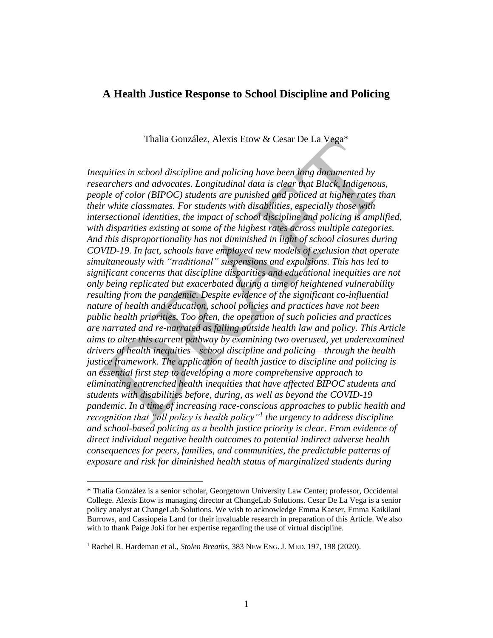## **A Health Justice Response to School Discipline and Policing**

Thalia González, Alexis Etow & Cesar De La Vega\*

*Inequities in school discipline and policing have been long documented by researchers and advocates. Longitudinal data is clear that Black, Indigenous, people of color (BIPOC) students are punished and policed at higher rates than their white classmates. For students with disabilities, especially those with intersectional identities, the impact of school discipline and policing is amplified, with disparities existing at some of the highest rates across multiple categories. And this disproportionality has not diminished in light of school closures during COVID-19. In fact, schools have employed new models of exclusion that operate simultaneously with "traditional" suspensions and expulsions. This has led to significant concerns that discipline disparities and educational inequities are not only being replicated but exacerbated during a time of heightened vulnerability resulting from the pandemic. Despite evidence of the significant co-influential nature of health and education, school policies and practices have not been public health priorities. Too often, the operation of such policies and practices are narrated and re-narrated as falling outside health law and policy. This Article aims to alter this current pathway by examining two overused, yet underexamined drivers of health inequities—school discipline and policing—through the health justice framework. The application of health justice to discipline and policing is an essential first step to developing a more comprehensive approach to eliminating entrenched health inequities that have affected BIPOC students and students with disabilities before, during, as well as beyond the COVID-19 pandemic. In a time of increasing race-conscious approaches to public health and recognition that "all policy is health policy" 1 the urgency to address discipline and school-based policing as a health justice priority is clear. From evidence of direct individual negative health outcomes to potential indirect adverse health consequences for peers, families, and communities, the predictable patterns of exposure and risk for diminished health status of marginalized students during* 

<sup>\*</sup> Thalia González is a senior scholar, Georgetown University Law Center; professor, Occidental College. Alexis Etow is managing director at ChangeLab Solutions. Cesar De La Vega is a senior policy analyst at ChangeLab Solutions. We wish to acknowledge Emma Kaeser, Emma Kaikilani Burrows, and Cassiopeia Land for their invaluable research in preparation of this Article. We also with to thank Paige Joki for her expertise regarding the use of virtual discipline.

<sup>1</sup> Rachel R. Hardeman et al., *Stolen Breaths*, 383 NEW ENG. J. MED. 197, 198 (2020).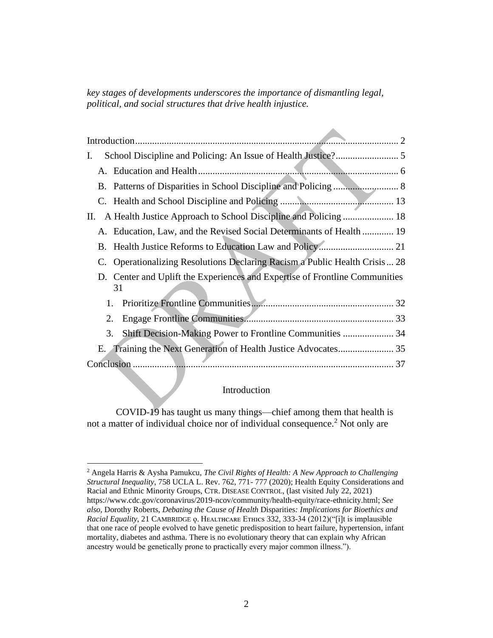*key stages of developments underscores the importance of dismantling legal, political, and social structures that drive health injustice.*

| I.                                                                                |  |
|-----------------------------------------------------------------------------------|--|
|                                                                                   |  |
|                                                                                   |  |
|                                                                                   |  |
| П.                                                                                |  |
| A. Education, Law, and the Revised Social Determinants of Health  19              |  |
|                                                                                   |  |
| C. Operationalizing Resolutions Declaring Racism a Public Health Crisis  28       |  |
| D. Center and Uplift the Experiences and Expertise of Frontline Communities<br>31 |  |
| 1.                                                                                |  |
| 2.                                                                                |  |
| Shift Decision-Making Power to Frontline Communities  34<br>3.                    |  |
| Е.                                                                                |  |
|                                                                                   |  |

## Introduction

<span id="page-1-0"></span>COVID-19 has taught us many things—chief among them that health is not a matter of individual choice nor of individual consequence.<sup>2</sup> Not only are

<sup>2</sup> Angela Harris & Aysha Pamukcu, *The Civil Rights of Health: A New Approach to Challenging Structural Inequality*, 758 UCLA L. Rev. 762, 771- 777 (2020); Health Equity Considerations and Racial and Ethnic Minority Groups, CTR. DISEASE CONTROL, (last visited July 22, 2021) https://www.cdc.gov/coronavirus/2019-ncov/community/health-equity/race-ethnicity.html; *See also*, Dorothy Roberts, *Debating the Cause of Health* Disparities*: Implications for Bioethics and*  Racial Equality, 21 CAMBRIDGE 9. HEALTHCARE ETHICS 332, 333-34 (2012)("[i]t is implausible that one race of people evolved to have genetic predisposition to heart failure, hypertension, infant mortality, diabetes and asthma. There is no evolutionary theory that can explain why African ancestry would be genetically prone to practically every major common illness.").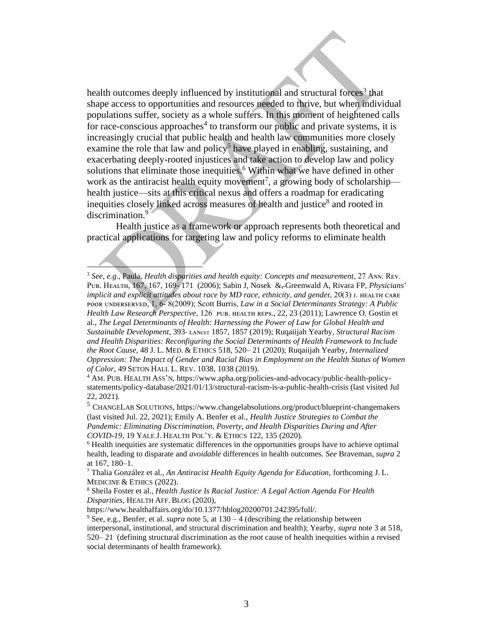health outcomes deeply influenced by institutional and structural forces<sup>3</sup> that shape access to opportunities and resources needed to thrive, but when individual populations suffer, society as a whole suffers. In this moment of heightened calls for race-conscious approaches<sup>4</sup> to transform our public and private systems, it is increasingly crucial that public health and health law communities more closely examine the role that law and policy<sup>5</sup> have played in enabling, sustaining, and exacerbating deeply-rooted injustices and take action to develop law and policy solutions that eliminate those inequities.<sup>6</sup> Within what we have defined in other work as the antiracist health equity movement<sup>7</sup>, a growing body of scholarship health justice—sits at this critical nexus and offers a roadmap for eradicating inequities closely linked across measures of health and justice<sup>8</sup> and rooted in discrimination.<sup>9</sup>

Health justice as a framework or approach represents both theoretical and practical applications for targeting law and policy reforms to eliminate health

<sup>&</sup>lt;sup>3</sup> See, e.g., Paula, *Health disparities and health equity: Concepts and measurement*, 27 Ann. REV. PUB. HEALTH, 167, 167, 169- 171 (2006); Sabin J, Nosek & Greenwald A, Rivara FP, *Physicians' implicit and explicit attitudes about race by MD race, ethnicity, and gender, 20(3) J. HEALTH CARE* POOR UNDERSERVED, 1, 6- 8(2009); Scott Burris, *Law in a Social Determinants Strategy: A Public* Health Law Research Perspective, 126 PUB. HEALTH REPS., 22, 23 (2011); Lawrence O. Gostin et al., *The Legal Determinants of Health: Harnessing the Power of Law for Global Health and Sustainable Development*, 393 ʟᴀɴᴄᴇᴛ 1857, 1857 (2019); Ruqaiijah Yearby, *Structural Racism and Health Disparities: Reconfiguring the Social Determinants of Health Framework to Include the Root Cause*, 48 J. L. MED. & ETHICS 518, 520– 21 (2020); Ruqaiijah Yearby, *Internalized Oppression: The Impact of Gender and Racial Bias in Employment on the Health Status of Women of Color*, 49 SETON HALL L. REV. 1038, 1038 (2019).

<sup>&</sup>lt;sup>4</sup> AM. PUB. HEALTH ASS'N, https://www.apha.org/policies-and-advocacy/public-health-policystatements/policy-database/2021/01/13/structural-racism-is-a-public-health-crisis (last visited Jul 22, 2021).

<sup>&</sup>lt;sup>5</sup> CHANGELAB SOLUTIONS, https://www.changelabsolutions.org/product/blueprint-changemakers (last visited Jul. 22, 2021); Emily A. Benfer et al., *Health Justice Strategies to Combat the Pandemic: Eliminating Discrimination, Poverty, and Health Disparities During and After COVID-19*, 19 YALE J. HEALTH POL'Y. & ETHICS 122, 135 (2020).

<sup>6</sup> Health inequities are systematic differences in the opportunities groups have to achieve optimal health, leading to disparate and *avoidable* differences in health outcomes. *See* Braveman, *supra* 2 at 167, 180–1.

<sup>7</sup> Thalia González et al., *An Antiracist Health Equity Agenda for Education,* forthcoming J. L. MEDICINE & ETHICS (2022).

<sup>8</sup> Sheila Foster et al., *Health Justice Is Racial Justice: A Legal Action Agenda For Health Disparities*, HEALTH AFF. BLOG (2020),

https://www.healthaffairs.org/do/10.1377/hblog20200701.242395/full/.

<sup>&</sup>lt;sup>9</sup> See, e.g., Benfer, et al. *supra* note 5, at  $130 - 4$  (describing the relationship between interpersonal, institutional, and structural discrimination and health); Yearby, *supra* note 3 at 518, 520– 21 (defining structural discrimination as the root cause of health inequities within a revised social determinants of health framework).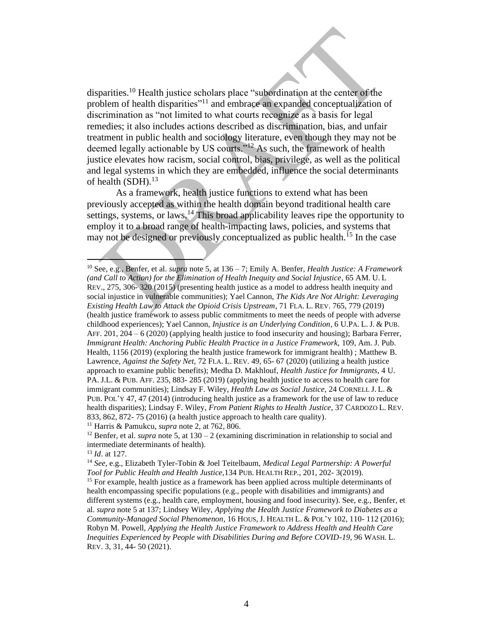disparities.<sup>10</sup> Health justice scholars place "subordination at the center of the problem of health disparities"<sup>11</sup> and embrace an expanded conceptualization of discrimination as "not limited to what courts recognize as a basis for legal remedies; it also includes actions described as discrimination, bias, and unfair treatment in public health and sociology literature, even though they may not be deemed legally actionable by US courts."<sup>12</sup> As such, the framework of health justice elevates how racism, social control, bias, privilege, as well as the political and legal systems in which they are embedded, influence the social determinants of health (SDH).<sup>13</sup>

As a framework, health justice functions to extend what has been previously accepted as within the health domain beyond traditional health care settings, systems, or laws.  $14$  This broad applicability leaves ripe the opportunity to employ it to a broad range of health-impacting laws, policies, and systems that may not be designed or previously conceptualized as public health.<sup>15</sup> In the case

<sup>10</sup> See, e.g., Benfer, et al. *supra* note 5, at 136 – 7; Emily A. Benfer, *Health Justice: A Framework (and Call to Action) for the Elimination of Health Inequity and Social Injustice*, 65 AM. U. L REV., 275, 306- 320 (2015) (presenting health justice as a model to address health inequity and social injustice in vulnerable communities); Yael Cannon, *The Kids Are Not Alright: Leveraging Existing Health Law to Attack the Opioid Crisis Upstream*, 71 FLA. L. REV. 765, 779 (2019) (health justice framework to assess public commitments to meet the needs of people with adverse childhood experiences); Yael Cannon, *Injustice is an Underlying Condition*, 6 U.PA. L. J. & PUB. AFF. 201, 204 – 6 (2020) (applying health justice to food insecurity and housing); [Barbara Ferrer,](https://www.ncbi.nlm.nih.gov/pubmed/?term=Ferrer%20B%5BAuthor%5D&cauthor=true&cauthor_uid=31390240) *Immigrant Health: Anchoring Public Health Practice in a Justice Framework, 109, Am. J. Pub.* Health, 1156 (2019) (exploring the health justice framework for immigrant health) ; Matthew B. Lawrence, *Against the Safety Net*, 72 FLA. L. REV. 49, 65- 67 (2020) (utilizing a health justice approach to examine public benefits); Medha D. Makhlouf, *Health Justice for Immigrants*, 4 U. PA. J.L. & PUB. AFF. 235, 883- 285 (2019) (applying health justice to access to health care for immigrant communities); Lindsay F. Wiley, *Health Law as Social Justice*, 24 CORNELL J. L. & PUB. POL'Y 47, 47 (2014) (introducing health justice as a framework for the use of law to reduce health disparities); Lindsay F. Wiley, *From Patient Rights to Health Justice*, 37 CARDOZO L. REV. 833, 862, 872- 75 (2016) (a health justice approach to health care quality).

<sup>11</sup> Harris & Pamukcu, *supra* note 2, at 762, 806.

<sup>&</sup>lt;sup>12</sup> Benfer, et al. *supra* note 5, at  $130 - 2$  (examining discrimination in relationship to social and intermediate determinants of health).

<sup>13</sup> *Id*. at 127.

<sup>14</sup> *See*, e.g., Elizabeth Tyler-Tobin & Joel Teitelbaum, *Medical Legal Partnership: A Powerful Tool for Public Health and Health Justice,*134 PUB. HEALTH REP., 201, 202- 3(2019).

<sup>&</sup>lt;sup>15</sup> For example, health justice as a framework has been applied across multiple determinants of health encompassing specific populations (e.g., people with disabilities and immigrants) and different systems (e.g., health care, employment, housing and food insecurity). See, e.g., Benfer, et al. *supra* note 5 at 137; Lindsey Wiley, *Applying the Health Justice Framework to Diabetes as a Community-Managed Social Phenomenon*, 16 HOUS, J. HEALTH L. & POL'Y 102, 110- 112 (2016); Robyn M. Powell, *Applying the Health Justice Framework to Address Health and Health Care Inequities Experienced by People with Disabilities During and Before COVID-19*, 96 WASH. L. REV. 3, 31, 44- 50 (2021).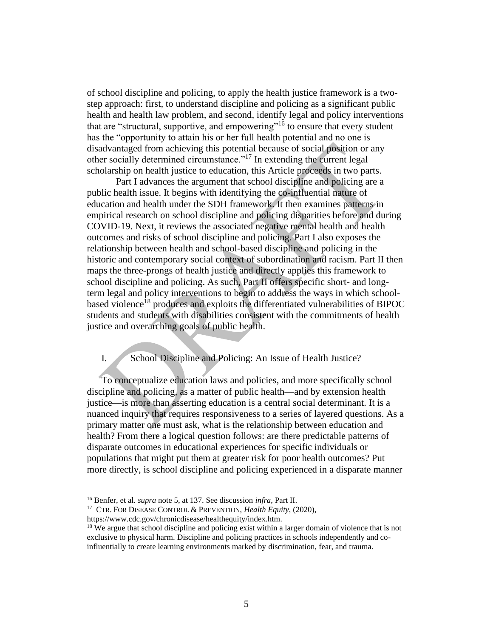of school discipline and policing, to apply the health justice framework is a twostep approach: first, to understand discipline and policing as a significant public health and health law problem, and second, identify legal and policy interventions that are "structural, supportive, and empowering"<sup>16</sup> to ensure that every student has the "opportunity to attain his or her full health potential and no one is disadvantaged from achieving this potential because of social position or any other socially determined circumstance."<sup>17</sup> In extending the current legal scholarship on health justice to education, this Article proceeds in two parts.

Part I advances the argument that school discipline and policing are a public health issue. It begins with identifying the co-influential nature of education and health under the SDH framework. It then examines patterns in empirical research on school discipline and policing disparities before and during COVID-19. Next, it reviews the associated negative mental health and health outcomes and risks of school discipline and policing. Part I also exposes the relationship between health and school-based discipline and policing in the historic and contemporary social context of subordination and racism. Part II then maps the three-prongs of health justice and directly applies this framework to school discipline and policing. As such, Part II offers specific short- and longterm legal and policy interventions to begin to address the ways in which schoolbased violence<sup>18</sup> produces and exploits the differentiated vulnerabilities of BIPOC students and students with disabilities consistent with the commitments of health justice and overarching goals of public health.

## <span id="page-4-0"></span>I. School Discipline and Policing: An Issue of Health Justice?

To conceptualize education laws and policies, and more specifically school discipline and policing, as a matter of public health—and by extension health justice—is more than asserting education is a central social determinant. It is a nuanced inquiry that requires responsiveness to a series of layered questions. As a primary matter one must ask, what is the relationship between education and health? From there a logical question follows: are there predictable patterns of disparate outcomes in educational experiences for specific individuals or populations that might put them at greater risk for poor health outcomes? Put more directly, is school discipline and policing experienced in a disparate manner

<sup>16</sup> Benfer, et al. *supra* note 5, at 137. See discussion *infra*, Part II.

<sup>17</sup> CTR. FOR DISEASE CONTROL & PREVENTION, *Health Equity*, (2020),

https://www.cdc.gov/chronicdisease/healthequity/index.htm.

<sup>&</sup>lt;sup>18</sup> We argue that school discipline and policing exist within a larger domain of violence that is not exclusive to physical harm. Discipline and policing practices in schools independently and coinfluentially to create learning environments marked by discrimination, fear, and trauma.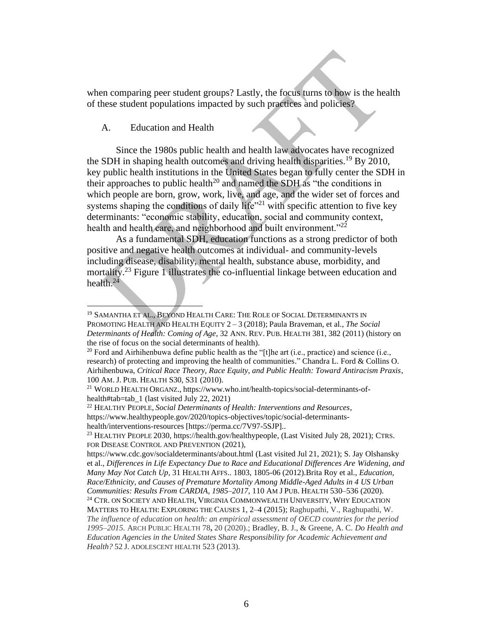when comparing peer student groups? Lastly, the focus turns to how is the health of these student populations impacted by such practices and policies?

#### <span id="page-5-0"></span>A. Education and Health

Since the 1980s public health and health law advocates have recognized the SDH in shaping health outcomes and driving health disparities.<sup>19</sup> By 2010, key public health institutions in the United States began to fully center the SDH in their approaches to public health<sup>20</sup> and named the SDH as "the conditions in which people are born, grow, work, live, and age, and the wider set of forces and systems shaping the conditions of daily life<sup> $21$ </sup> with specific attention to five key determinants: "economic stability, education, social and community context, health and health care, and neighborhood and built environment."<sup>22</sup>

As a fundamental SDH, education functions as a strong predictor of both positive and negative health outcomes at individual- and community-levels including disease, disability, mental health, substance abuse, morbidity, and mortality.<sup>23</sup> Figure 1 illustrates the co-influential linkage between education and health. 24

<sup>&</sup>lt;sup>19</sup> SAMANTHA ET AL., BEYOND HEALTH CARE: THE ROLE OF SOCIAL DETERMINANTS IN PROMOTING HEALTH AND HEALTH EQUITY 2 – 3 (2018); Paula Braveman, et al., *The Social Determinants of Health: Coming of Age*, 32 ANN. REV. PUB. HEALTH 381, 382 (2011) (history on the rise of focus on the social determinants of health).

<sup>&</sup>lt;sup>20</sup> Ford and Airhihenbuwa define public health as the "[t]he art (i.e., practice) and science (i.e., research) of protecting and improving the health of communities." Chandra L. Ford & Collins O. Airhihenbuwa, *Critical Race Theory, Race Equity, and Public Health: Toward Antiracism Praxis*, 100 AM. J. PUB. HEALTH S30, S31 (2010).

<sup>21</sup> WORLD HEALTH ORGANZ., https://www.who.int/health-topics/social-determinants-ofhealth#tab=tab\_1 (last visited July 22, 2021)

<sup>22</sup> HEALTHY PEOPLE, *Social Determinants of Health: Interventions and Resources*, https://www.healthypeople.gov/2020/topics-objectives/topic/social-determinantshealth/interventions-resources [https://perma.cc/7V97-5SJP]..

<sup>23</sup> HEALTHY PEOPLE 2030[, https://health.gov/healthypeople,](https://health.gov/healthypeople) (Last Visited July 28, 2021); CTRS. FOR DISEASE CONTROL AND PREVENTION (2021),

<https://www.cdc.gov/socialdeterminants/about.html> (Last visited Jul 21, 2021); S. Jay Olshansky et al., *Differences in Life Expectancy Due to Race and Educational Differences Are Widening, and Many May Not Catch Up*, 31 HEALTH AFFS.. 1803, 1805-06 (2012).Brita Roy et al., *Education, Race/Ethnicity, and Causes of Premature Mortality Among Middle-Aged Adults in 4 US Urban Communities: Results From CARDIA, 1985–2017*, 110 AM J PUB. HEALTH 530–536 (2020). <sup>24</sup> CTR. ON SOCIETY AND HEALTH, VIRGINIA COMMONWEALTH UNIVERSITY, WHY EDUCATION MATTERS TO HEALTH: EXPLORING THE CAUSES 1, 2–4 (2015); Raghupathi, V., Raghupathi, W. *The influence of education on health: an empirical assessment of OECD countries for the period 1995–2015.* ARCH PUBLIC HEALTH 78**,** 20 (2020).; Bradley, B. J., & Greene, A. C. *Do Health and* 

*Education Agencies in the United States Share Responsibility for Academic Achievement and Health?* 52 J. ADOLESCENT HEALTH 523 (2013).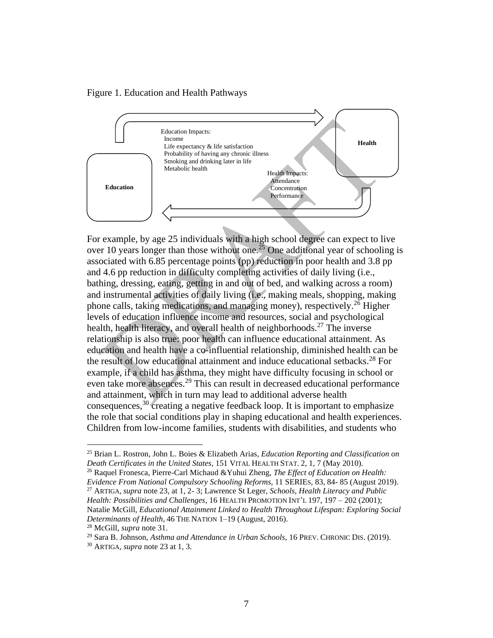Figure 1. Education and Health Pathways



For example, by age 25 individuals with a high school degree can expect to live over 10 years longer than those without one.<sup>25</sup> One additional year of schooling is associated with 6.85 percentage points (pp) reduction in poor health and 3.8 pp and 4.6 pp reduction in difficulty completing activities of daily living (i.e., bathing, dressing, eating, getting in and out of bed, and walking across a room) and instrumental activities of daily living (i.e., making meals, shopping, making phone calls, taking medications, and managing money), respectively.<sup>26</sup> Higher levels of education influence income and resources, social and psychological health, health literacy, and overall health of neighborhoods.<sup>27</sup> The inverse relationship is also true: poor health can influence educational attainment. As education and health have a co-influential relationship, diminished health can be the result of low educational attainment and induce educational setbacks.<sup>28</sup> For example, if a child has asthma, they might have difficulty focusing in school or even take more absences.<sup>29</sup> This can result in decreased educational performance and attainment, which in turn may lead to additional adverse health consequences,<sup>30</sup> creating a negative feedback loop. It is important to emphasize the role that social conditions play in shaping educational and health experiences. Children from low-income families, students with disabilities, and students who

<sup>25</sup> Brian L. Rostron, John L. Boies & Elizabeth Arias, *Education Reporting and Classification on Death Certificates in the United States*, 151 VITAL HEALTH STAT. 2, 1, 7 (May 2010).

<sup>26</sup> Raquel Fronesca, Pierre-Carl Michaud &Yuhui Zheng, *The Effect of Education on Health: Evidence From National Compulsory Schooling Reforms*, 11 SERIES*,* 83, 84- 85 (August 2019). <sup>27</sup> ARTIGA, *supra* note 23, at 1, 2- 3; Lawrence St Leger, *Schools, Health Literacy and Public* 

*Health: Possibilities and Challenges*, 16 HEALTH PROMOTION INT'L 197, 197 – 202 (2001); Natalie McGill, *Educational Attainment Linked to Health Throughout Lifespan: Exploring Social Determinants of Health*, 46 THE NATION 1–19 (August, 2016).

<sup>28</sup> McGill, *supra* note 31.

<sup>29</sup> Sara B. Johnson, *Asthma and Attendance in Urban Schools*, 16 PREV. CHRONIC DIS. (2019).

<sup>30</sup> ARTIGA*, supra* note 23 at 1, 3.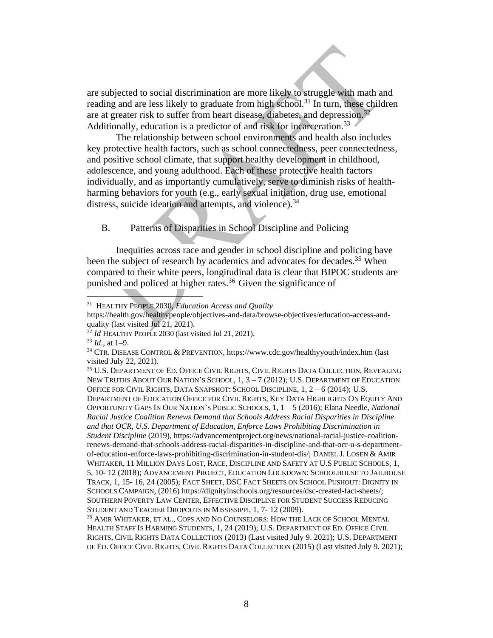are subjected to social discrimination are more likely to struggle with math and reading and are less likely to graduate from high school.<sup>31</sup> In turn, these children are at greater risk to suffer from heart disease, diabetes, and depression.<sup>32</sup> Additionally, education is a predictor of and risk for incarceration.<sup>33</sup>

The relationship between school environments and health also includes key protective health factors, such as school connectedness, peer connectedness, and positive school climate, that support healthy development in childhood, adolescence, and young adulthood. Each of these protective health factors individually, and as importantly cumulatively, serve to diminish risks of healthharming behaviors for youth (e.g., early sexual initiation, drug use, emotional distress, suicide ideation and attempts, and violence).<sup>34</sup>

<span id="page-7-0"></span>B. Patterns of Disparities in School Discipline and Policing

Inequities across race and gender in school discipline and policing have been the subject of research by academics and advocates for decades.<sup>35</sup> When compared to their white peers, longitudinal data is clear that BIPOC students are punished and policed at higher rates.<sup>36</sup> Given the significance of

<sup>35</sup> U.S. DEPARTMENT OF ED. OFFICE CIVIL RIGHTS, CIVIL RIGHTS DATA COLLECTION, REVEALING NEW TRUTHS ABOUT OUR NATION'S SCHOOL,  $1, 3 - 7$  (2012); U.S. DEPARTMENT OF EDUCATION OFFICE FOR CIVIL RIGHTS, DATA SNAPSHOT: SCHOOL DISCIPLINE, 1, 2 – 6 (2014); U.S. DEPARTMENT OF EDUCATION OFFICE FOR CIVIL RIGHTS, KEY DATA HIGHLIGHTS ON EQUITY AND OPPORTUNITY GAPS IN OUR NATION'S PUBLIC SCHOOLS, 1, 1 – 5 (2016); Elana Needle, *National Racial Justice Coalition Renews Demand that Schools Address Racial Disparities in Discipline and that OCR, U.S. Department of Education, Enforce Laws Prohibiting Discrimination in Student Discipline* (2019), [https://advancementproject.org/news/national-racial-justice-coalition](https://advancementproject.org/news/national-racial-justice-coalition-renews-demand-that-schools-address-racial-disparities-in-discipline-and-that-ocr-u-s-department-of-education-enforce-laws-prohibiting-discrimination-in-student-dis/)[renews-demand-that-schools-address-racial-disparities-in-discipline-and-that-ocr-u-s-department](https://advancementproject.org/news/national-racial-justice-coalition-renews-demand-that-schools-address-racial-disparities-in-discipline-and-that-ocr-u-s-department-of-education-enforce-laws-prohibiting-discrimination-in-student-dis/)[of-education-enforce-laws-prohibiting-discrimination-in-student-dis/;](https://advancementproject.org/news/national-racial-justice-coalition-renews-demand-that-schools-address-racial-disparities-in-discipline-and-that-ocr-u-s-department-of-education-enforce-laws-prohibiting-discrimination-in-student-dis/) DANIEL J. LOSEN & AMIR WHITAKER, 11 MILLION DAYS LOST, RACE, DISCIPLINE AND SAFETY AT U.S PUBLIC SCHOOLS, 1, 5, 10- 12 (2018); ADVANCEMENT PROJECT, EDUCATION LOCKDOWN: SCHOOLHOUSE TO JAILHOUSE TRACK, 1, 15- 16, 24 (2005); FACT SHEET, DSC FACT SHEETS ON SCHOOL PUSHOUT: DIGNITY IN SCHOOLS CAMPAIGN, (2016[\) https://dignityinschools.org/resources/dsc-created-fact-sheets/;](https://dignityinschools.org/resources/dsc-created-fact-sheets/) SOUTHERN POVERTY LAW CENTER, EFFECTIVE DISCIPLINE FOR STUDENT SUCCESS REDUCING STUDENT AND TEACHER DROPOUTS IN MISSISSIPPI, 1, 7- 12 (2009).

<sup>36</sup> AMIR WHITAKER, ET AL., COPS AND NO COUNSELORS: HOW THE LACK OF SCHOOL MENTAL HEALTH STAFF IS HARMING STUDENTS, 1, 24 (2019); U.S. DEPARTMENT OF ED. OFFICE CIVIL RIGHTS, CIVIL RIGHTS DATA COLLECTION (2013) (Last visited July 9. 2021); U.S. DEPARTMENT OF ED. OFFICE CIVIL RIGHTS, CIVIL RIGHTS DATA COLLECTION (2015) (Last visited July 9. 2021);

<sup>31</sup> HEALTHY PEOPLE 2030, *Education Access and Quality*

https://health.gov/healthypeople/objectives-and-data/browse-objectives/education-access-andquality (last visited Jul 21, 2021).

<sup>32</sup> *Id* HEALTHY PEOPLE 2030 (last visited Jul 21, 2021)*.*

<sup>33</sup> *Id*., at 1–9.

<sup>34</sup> CTR. DISEASE CONTROL & PREVENTION, https://www.cdc.gov/healthyyouth/index.htm (last visited July 22, 2021).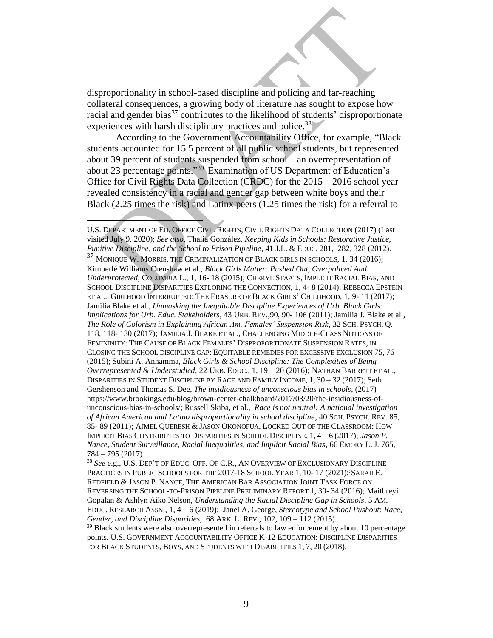disproportionality in school-based discipline and policing and far-reaching collateral consequences, a growing body of literature has sought to expose how racial and gender bias<sup>37</sup> contributes to the likelihood of students' disproportionate experiences with harsh disciplinary practices and police.<sup>38</sup>

According to the Government Accountability Office, for example, "Black students accounted for 15.5 percent of all public school students, but represented about 39 percent of students suspended from school—an overrepresentation of about 23 percentage points." <sup>39</sup> Examination of US Department of Education's Office for Civil Rights Data Collection (CRDC) for the 2015 – 2016 school year revealed consistency in a racial and gender gap between white boys and their Black (2.25 times the risk) and Latinx peers (1.25 times the risk) for a referral to

U.S. DEPARTMENT OF ED. OFFICE CIVIL RIGHTS, CIVIL RIGHTS DATA COLLECTION (2017) (Last visited July 9. 2020); *See also*, Thalia González, *Keeping Kids in Schools: Restorative Justice, Punitive Discipline, and the School to Prison Pipeline*, 41 J.L. & EDUC. 281, 282, 328 (2012).  $37$  MONIQUE W. MORRIS, THE CRIMINALIZATION OF BLACK GIRLS IN SCHOOLS, 1, 34 (2016);

Kimberlé Williams Crenshaw et al., *Black Girls Matter: Pushed Out, Overpoliced And Underprotected*, COLUMBIA L., 1, 16- 18 (2015); CHERYL STAATS, IMPLICIT RACIAL BIAS, AND SCHOOL DISCIPLINE DISPARITIES EXPLORING THE CONNECTION, 1, 4- 8 (2014); REBECCA EPSTEIN ET AL., GIRLHOOD INTERRUPTED: THE ERASURE OF BLACK GIRLS' CHILDHOOD, 1, 9- 11 (2017); Jamilia Blake et al., *Unmasking the Inequitable Discipline Experiences of Urb. Black Girls: Implications for Urb. Educ. Stakeholders*, 43 URB. REV.,90, 90- 106 (2011); Jamilia J. Blake et al., *The Role of Colorism in Explaining African Am. Females' Suspension Risk*, 32 SCH. PSYCH. Q. 118, 118- 130 (2017); JAMILIA J. BLAKE ET AL., CHALLENGING MIDDLE-CLASS NOTIONS OF FEMININITY: THE CAUSE OF BLACK FEMALES' DISPROPORTIONATE SUSPENSION RATES, IN CLOSING THE SCHOOL DISCIPLINE GAP: EQUITABLE REMEDIES FOR EXCESSIVE EXCLUSION 75, 76 (2015); Subini A. Annamma, *Black Girls & School Discipline: The Complexities of Being Overrepresented & Understudied*, 22 URB. EDUC., 1, 19 – 20 (2016); NATHAN BARRETT ET AL., DISPARITIES IN STUDENT DISCIPLINE BY RACE AND FAMILY INCOME*,* 1, 30 – 32 (2017); [Seth](https://www.american.edu/spa/faculty/gershens.cfm)  [Gershenson](https://www.american.edu/spa/faculty/gershens.cfm) an[d Thomas S. Dee,](https://www.brookings.edu/author/thomas-s-dee/) *The insidiousness of unconscious bias in schools*, (2017) [https://www.brookings.edu/blog/brown-center-chalkboard/2017/03/20/the-insidiousness-of](https://www.brookings.edu/blog/brown-center-chalkboard/2017/03/20/the-insidiousness-of-unconscious-bias-in-schools/)[unconscious-bias-in-schools/;](https://www.brookings.edu/blog/brown-center-chalkboard/2017/03/20/the-insidiousness-of-unconscious-bias-in-schools/) Russell Skiba, et al., *Race is not neutral: A national investigation of African American and Latino disproportionality in school discipline*, 40 SCH. PSYCH. REV. 85, 85- 89 (2011); AJMEL QUERESH & JASON OKONOFUA, LOCKED OUT OF THE CLASSROOM: HOW IMPLICIT BIAS CONTRIBUTES TO DISPARITIES IN SCHOOL DISCIPLINE, 1, 4 – 6 (2017); *Jason P. Nance, Student Surveillance, Racial Inequalities, and Implicit Racial Bias*, 66 EMORY L. J. 765, 784 – 795 (2017)

<sup>38</sup> *See* e.g., U.S. DEP'T OF EDUC. OFF. OF C.R., AN OVERVIEW OF EXCLUSIONARY DISCIPLINE PRACTICES IN PUBLIC SCHOOLS FOR THE 2017-18 SCHOOL YEAR 1, 10-17 (2021); SARAH E. REDFIELD & JASON P. NANCE, THE AMERICAN BAR ASSOCIATION JOINT TASK FORCE ON REVERSING THE SCHOOL-TO-PRISON PIPELINE PRELIMINARY REPORT 1, 30- 34 (2016); Maithreyi Gopalan & Ashlyn Aiko Nelson, *Understanding the Racial Discipline Gap in Schools*, 5 AM. EDUC. RESEARCH ASSN., 1, 4 – 6 (2019); Janel A. George, *Stereotype and School Pushout: Race, Gender, and Discipline Disparities*, 68 ARK. L. REV., 102, 109 – 112 (2015).

 $39$  Black students were also overrepresented in referrals to law enforcement by about 10 percentage points. U.S. GOVERNMENT ACCOUNTABILITY OFFICE K-12 EDUCATION: DISCIPLINE DISPARITIES FOR BLACK STUDENTS, BOYS, AND STUDENTS WITH DISABILITIES 1, 7, 20 (2018).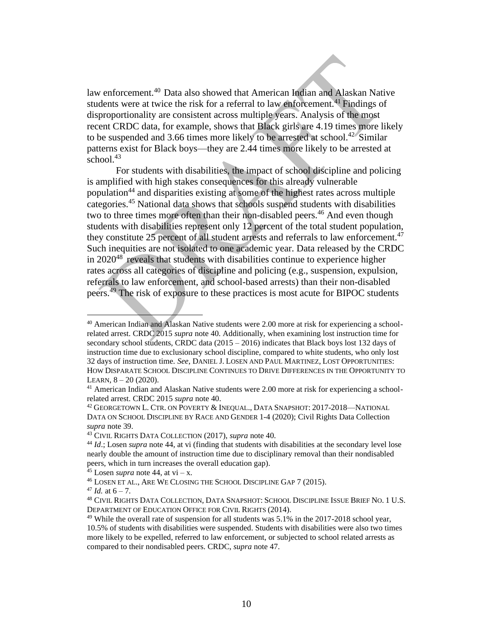law enforcement.<sup>40</sup> Data also showed that American Indian and Alaskan Native students were at twice the risk for a referral to law enforcement.<sup>41</sup> Findings of disproportionality are consistent across multiple years. Analysis of the most recent CRDC data, for example, shows that Black girls are 4.19 times more likely to be suspended and 3.66 times more likely to be arrested at school.<sup>42</sup> Similar patterns exist for Black boys—they are 2.44 times more likely to be arrested at school. $43$ 

For students with disabilities, the impact of school discipline and policing is amplified with high stakes consequences for this already vulnerable population<sup>44</sup> and disparities existing at some of the highest rates across multiple categories.<sup>45</sup> National data shows that schools suspend students with disabilities two to three times more often than their non-disabled peers. <sup>46</sup> And even though students with disabilities represent only 12 percent of the total student population, they constitute 25 percent of all student arrests and referrals to law enforcement.<sup>47</sup> Such inequities are not isolated to one academic year. Data released by the CRDC in  $2020^{48}$  reveals that students with disabilities continue to experience higher rates across all categories of discipline and policing (e.g., suspension, expulsion, referrals to law enforcement, and school-based arrests) than their non-disabled peers.<sup>49</sup> The risk of exposure to these practices is most acute for BIPOC students

<sup>40</sup> American Indian and Alaskan Native students were 2.00 more at risk for experiencing a schoolrelated arrest. CRDC 2015 *supra* note 40. Additionally, when examining lost instruction time for secondary school students, CRDC data  $(2015 - 2016)$  indicates that Black boys lost 132 days of instruction time due to exclusionary school discipline, compared to white students, who only lost 32 days of instruction time. *See*, DANIEL J. LOSEN AND PAUL MARTINEZ, LOST OPPORTUNITIES: HOW DISPARATE SCHOOL DISCIPLINE CONTINUES TO DRIVE DIFFERENCES IN THE OPPORTUNITY TO LEARN,  $8 - 20$  (2020).

<sup>41</sup> American Indian and Alaskan Native students were 2.00 more at risk for experiencing a schoolrelated arrest. CRDC 2015 *supra* note 40.

<sup>42</sup> GEORGETOWN L. CTR. ON POVERTY & INEQUAL., DATA SNAPSHOT: 2017-2018—NATIONAL DATA ON SCHOOL DISCIPLINE BY RACE AND GENDER 1-4 (2020); Civil Rights Data Collection *supra* note 39.

<sup>43</sup> CIVIL RIGHTS DATA COLLECTION (2017), *supra* note 40.

<sup>44</sup> *Id*.; Losen *supra* note 44, at vi (finding that students with disabilities at the secondary level lose nearly double the amount of instruction time due to disciplinary removal than their nondisabled peers, which in turn increases the overall education gap).

 $45$  Losen *supra* note 44, at vi – x.

<sup>46</sup> LOSEN ET AL., ARE WE CLOSING THE SCHOOL DISCIPLINE GAP 7 (2015).

 $47$  *Id.* at  $6 - 7$ .

<sup>48</sup> CIVIL RIGHTS DATA COLLECTION, DATA SNAPSHOT: SCHOOL DISCIPLINE ISSUE BRIEF NO. 1 U.S. DEPARTMENT OF EDUCATION OFFICE FOR CIVIL RIGHTS (2014).

 $49$  While the overall rate of suspension for all students was  $5.1\%$  in the 2017-2018 school year, 10.5% of students with disabilities were suspended. Students with disabilities were also two times more likely to be expelled, referred to law enforcement, or subjected to school related arrests as compared to their nondisabled peers. CRDC, *supra* note 47.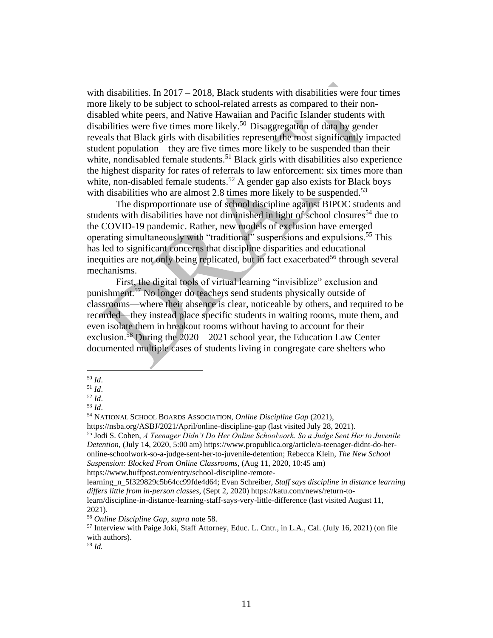with disabilities. In  $2017 - 2018$ , Black students with disabilities were four times more likely to be subject to school-related arrests as compared to their nondisabled white peers, and Native Hawaiian and Pacific Islander students with disabilities were five times more likely.<sup>50</sup> Disaggregation of data by gender reveals that Black girls with disabilities represent the most significantly impacted student population—they are five times more likely to be suspended than their white, nondisabled female students.<sup>51</sup> Black girls with disabilities also experience the highest disparity for rates of referrals to law enforcement: six times more than white, non-disabled female students.<sup>52</sup> A gender gap also exists for Black boys with disabilities who are almost 2.8 times more likely to be suspended.<sup>53</sup>

The disproportionate use of school discipline against BIPOC students and students with disabilities have not diminished in light of school closures<sup>54</sup> due to the COVID-19 pandemic. Rather, new models of exclusion have emerged operating simultaneously with "traditional" suspensions and expulsions.<sup>55</sup> This has led to significant concerns that discipline disparities and educational inequities are not only being replicated, but in fact exacerbated<sup>56</sup> through several mechanisms.

First, the digital tools of virtual learning "invisiblize" exclusion and punishment.<sup>57</sup> No longer do teachers send students physically outside of classrooms—where their absence is clear, noticeable by others, and required to be recorded—they instead place specific students in waiting rooms, mute them, and even isolate them in breakout rooms without having to account for their exclusion.<sup>58</sup> During the  $2020 - 2021$  school year, the Education Law Center documented multiple cases of students living in congregate care shelters who

<sup>50</sup> *Id*.

<sup>51</sup> *Id*.

<sup>52</sup> *Id*.

<sup>53</sup> *Id*.

<sup>54</sup> NATIONAL SCHOOL BOARDS ASSOCIATION, *Online Discipline Gap* (2021),

https://nsba.org/ASBJ/2021/April/online-discipline-gap (last visited July 28, 2021).

<sup>55</sup> Jodi S. Cohen, *A Teenager Didn't Do Her Online Schoolwork. So a Judge Sent Her to Juvenile Detention*, (July 14, 2020, 5:00 am) [https://www.propublica.org/article/a-teenager-didnt-do-her](https://www.propublica.org/article/a-teenager-didnt-do-her-online-schoolwork-so-a-judge-sent-her-to-juvenile-detention)[online-schoolwork-so-a-judge-sent-her-to-juvenile-detention;](https://www.propublica.org/article/a-teenager-didnt-do-her-online-schoolwork-so-a-judge-sent-her-to-juvenile-detention) [Rebecca Klein,](https://www.huffpost.com/author/rebecca-klein) *The New School Suspension: Blocked From Online Classrooms*, (Aug 11, 2020, 10:45 am) https://www.huffpost.com/entry/school-discipline-remote-

learning\_n\_5f329829c5b64cc99fde4d64; Evan Schreiber, *Staff says discipline in distance learning differs little from in-person classes*, (Sept 2, 2020) https://katu.com/news/return-to-

learn/discipline-in-distance-learning-staff-says-very-little-difference (last visited August 11, 2021).

<sup>56</sup> *Online Discipline Gap, supra* note 58.

<sup>57</sup> Interview with Paige Joki, Staff Attorney, Educ. L. Cntr., in L.A., Cal. (July 16, 2021) (on file with authors).

<sup>58</sup> *Id.*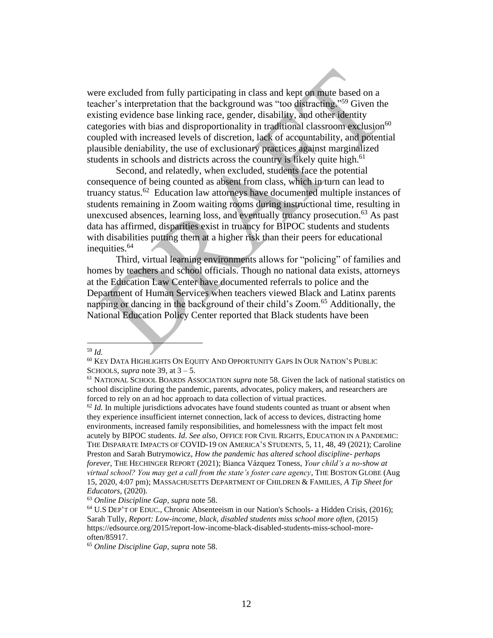were excluded from fully participating in class and kept on mute based on a teacher's interpretation that the background was "too distracting." <sup>59</sup> Given the existing evidence base linking race, gender, disability, and other identity categories with bias and disproportionality in traditional classroom exclusion<sup>60</sup> coupled with increased levels of discretion, lack of accountability, and potential plausible deniability, the use of exclusionary practices against marginalized students in schools and districts across the country is likely quite high.<sup>61</sup>

Second, and relatedly, when excluded, students face the potential consequence of being counted as absent from class, which in turn can lead to truancy status.<sup>62</sup> Education law attorneys have documented multiple instances of students remaining in Zoom waiting rooms during instructional time, resulting in unexcused absences, learning loss, and eventually truancy prosecution.<sup>63</sup> As past data has affirmed, disparities exist in truancy for BIPOC students and students with disabilities putting them at a higher risk than their peers for educational inequities. 64

Third, virtual learning environments allows for "policing" of families and homes by teachers and school officials. Though no national data exists, attorneys at the Education Law Center have documented referrals to police and the Department of Human Services when teachers viewed Black and Latinx parents napping or dancing in the background of their child's Zoom.<sup>65</sup> Additionally, the National Education Policy Center reported that Black students have been

 $62$  *Id.* In multiple jurisdictions advocates have found students counted as truant or absent when they experience insufficient internet connection, lack of access to devices, distracting home environments, increased family responsibilities, and homelessness with the impact felt most acutely by BIPOC students. *Id*. *See also,* OFFICE FOR CIVIL RIGHTS, EDUCATION IN A PANDEMIC: THE DISPARATE IMPACTS OF COVID-19 ON AMERICA'S STUDENTS, 5, 11, 48, 49 (2021); Caroline Preston and Sarah Butrymowicz, *[How the pandemic has altered school discipline-](https://hechingerreport.org/how-the-pandemic-has-altered-school-discipline-perhaps-forever/) perhaps [forever](https://hechingerreport.org/how-the-pandemic-has-altered-school-discipline-perhaps-forever/)*, THE HECHINGER REPORT (2021); [Bianca Vázquez Toness,](https://www.bostonglobe.com/about/staff-list/staff/bianca-toness/?p1=Article_Byline) *Your child's a no-show at virtual school? You may get a call from the state's foster care agency*, THE BOSTON GLOBE (Aug 15, 2020, 4:07 pm); MASSACHUSETTS DEPARTMENT OF CHILDREN & FAMILIES, *A Tip Sheet for Educators,* (2020).

<sup>59</sup> *Id.* 

<sup>60</sup> KEY DATA HIGHLIGHTS ON EQUITY AND OPPORTUNITY GAPS IN OUR NATION'S PUBLIC SCHOOLS, *supra* note 39, at  $3 - 5$ .

<sup>61</sup> NATIONAL SCHOOL BOARDS ASSOCIATION *supra* note 58. Given the lack of national statistics on school discipline during the pandemic, parents, advocates, policy makers, and researchers are forced to rely on an ad hoc approach to data collection of virtual practices.

<sup>63</sup> *Online Discipline Gap, supra* note 58.

<sup>64</sup> U.S DEP'T OF EDUC., Chronic Absenteeism in our Nation's Schools- a Hidden Crisis, (2016); [Sa](https://edsource.org/author/stully)rah Tully, *Report: Low-income, black, disabled students miss school more often*, (2015) [https://edsource.org/2015/report-low-income-black-disabled-students-miss-school-more](https://edsource.org/2015/report-low-income-black-disabled-students-miss-school-more-often/85917)[often/85917.](https://edsource.org/2015/report-low-income-black-disabled-students-miss-school-more-often/85917) 

<sup>65</sup> *Online Discipline Gap, supra* note 58.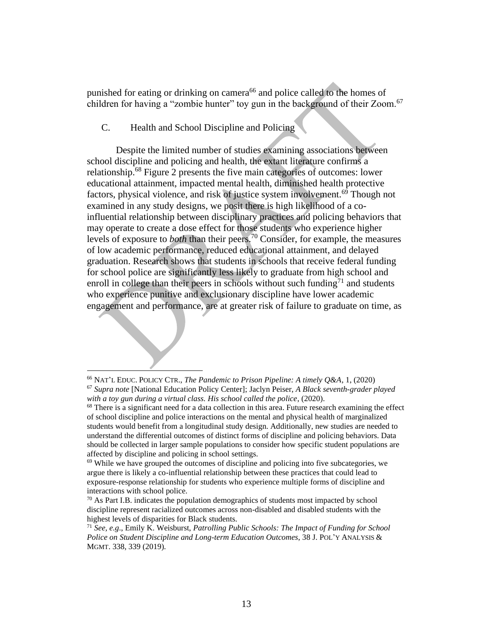punished for eating or drinking on camera<sup>66</sup> and police called to the homes of children for having a "zombie hunter" toy gun in the background of their Zoom.<sup>67</sup>

#### <span id="page-12-0"></span>C. Health and School Discipline and Policing

Despite the limited number of studies examining associations between school discipline and policing and health, the extant literature confirms a relationship.<sup>68</sup> Figure 2 presents the five main categories of outcomes: lower educational attainment, impacted mental health, diminished health protective factors, physical violence, and risk of justice system involvement.<sup>69</sup> Though not examined in any study designs, we posit there is high likelihood of a coinfluential relationship between disciplinary practices and policing behaviors that may operate to create a dose effect for those students who experience higher levels of exposure to *both* than their peers. <sup>70</sup> Consider, for example, the measures of low academic performance, reduced educational attainment, and delayed graduation. Research shows that students in schools that receive federal funding for school police are significantly less likely to graduate from high school and enroll in college than their peers in schools without such funding $^{71}$  and students who experience punitive and exclusionary discipline have lower academic engagement and performance, are at greater risk of failure to graduate on time, as

<sup>66</sup> NAT'L EDUC. POLICY CTR., *The Pandemic to Prison Pipeline: A timely Q&A*, 1, (2020)

<sup>67</sup> *Supra note* [National Education Policy Center]; Jaclyn Peiser, *A Black seventh-grader played with a toy gun during a virtual class. His school called the police*, (2020).

 $68$  There is a significant need for a data collection in this area. Future research examining the effect of school discipline and police interactions on the mental and physical health of marginalized students would benefit from a longitudinal study design. Additionally, new studies are needed to understand the differential outcomes of distinct forms of discipline and policing behaviors. Data should be collected in larger sample populations to consider how specific student populations are affected by discipline and policing in school settings.

 $69$  While we have grouped the outcomes of discipline and policing into five subcategories, we argue there is likely a co-influential relationship between these practices that could lead to exposure-response relationship for students who experience multiple forms of discipline and interactions with school police.

 $70$  As Part I.B. indicates the population demographics of students most impacted by school discipline represent racialized outcomes across non-disabled and disabled students with the highest levels of disparities for Black students.

<sup>71</sup> *See, e.g*., Emily K. Weisburst, *Patrolling Public Schools: The Impact of Funding for School Police on Student Discipline and Long-term Education Outcomes*, 38 J. POL'Y ANALYSIS & MGMT. 338, 339 (2019).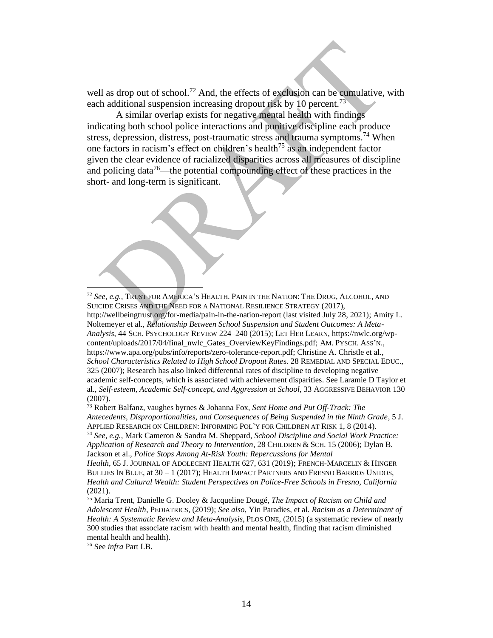well as drop out of school.<sup>72</sup> And, the effects of exclusion can be cumulative, with each additional suspension increasing dropout risk by 10 percent.<sup>73</sup>

A similar overlap exists for negative mental health with findings indicating both school police interactions and punitive discipline each produce stress, depression, distress, post-traumatic stress and trauma symptoms.<sup>74</sup> When one factors in racism's effect on children's health<sup>75</sup> as an independent factor given the clear evidence of racialized disparities across all measures of discipline and policing data<sup>76</sup>—the potential compounding effect of these practices in the short- and long-term is significant.



<sup>72</sup> *See, e.g.,* TRUST FOR AMERICA'S HEALTH. PAIN IN THE NATION: THE DRUG, ALCOHOL, AND SUICIDE CRISES AND THE NEED FOR A NATIONAL RESILIENCE STRATEGY (2017), http://wellbeingtrust.org/for-media/pain-in-the-nation-report (last visited July 28, 2021); Amity L. Noltemeyer et al., *Relationship Between School Suspension and Student Outcomes: A Meta-Analysis*, 44 SCH. PSYCHOLOGY REVIEW 224–240 (2015); LET HER LEARN, https://nwlc.org/wpcontent/uploads/2017/04/final\_nwlc\_Gates\_OverviewKeyFindings.pdf; AM. PYSCH. ASS'N., https://www.apa.org/pubs/info/reports/zero-tolerance-report.pdf; Christine A. Christle et al., *School Characteristics Related to High School Dropout Rate*s. 28 REMEDIAL AND SPECIAL EDUC., 325 (2007); Research has also linked differential rates of discipline to developing negative academic self-concepts, which is associated with achievement disparities. See Laramie D Taylor et al., *Self-esteem, Academic Self-concept, and Aggression at School*, 33 AGGRESSIVE BEHAVIOR 130 (2007).

<sup>73</sup> Robert Balfanz, vaughes byrnes & Johanna Fox, *Sent Home and Put Off-Track: The Antecedents, Disproportionalities, and Consequences of Being Suspended in the Ninth Grade*, 5 J. APPLIED RESEARCH ON CHILDREN: INFORMING POL'Y FOR CHILDREN AT RISK 1, 8 (2014). <sup>74</sup> *See, e.g.*, Mark Cameron & Sandra M. Sheppard, *School Discipline and Social Work Practice: Application of Research and Theory to Intervention,* 28 CHILDREN & SCH. 15 (2006); Dylan B. Jackson et al., *Police Stops Among At-Risk Youth: Repercussions for Mental Health*, 65 J. JOURNAL OF ADOLECENT HEALTH 627, 631 (2019); FRENCH-MARCELIN & HINGER BULLIES IN BLUE, at 30 – 1 (2017); HEALTH IMPACT PARTNERS AND FRESNO BARRIOS UNIDOS, *Health and Cultural Wealth: Student Perspectives on Police-Free Schools in Fresno, California*

(2021).

<sup>75</sup> Maria Trent, Danielle G. Dooley & Jacqueline Dougé, *The Impact of Racism on Child and Adolescent Health*, PEDIATRICS, (2019); *See also*, Yin Paradies, et al. *Racism as a Determinant of Health: A Systematic Review and Meta-Analysis*, PLOS ONE, (2015) (a systematic review of nearly 300 studies that associate racism with health and mental health, finding that racism diminished mental health and health).

<sup>76</sup> See *infra* Part I.B.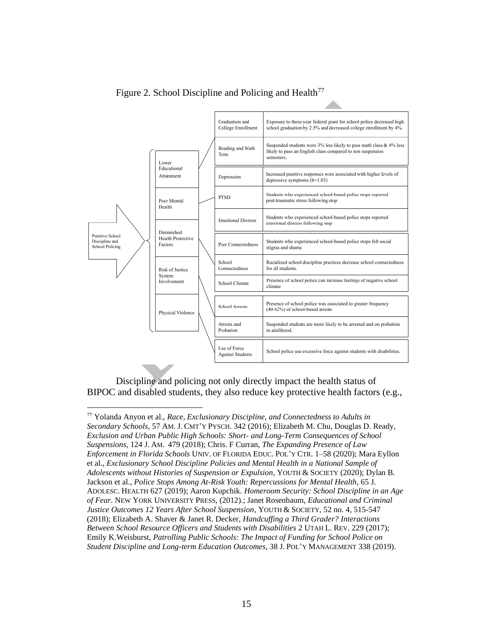

Figure 2. School Discipline and Policing and Health<sup>77</sup>

Discipline and policing not only directly impact the health status of BIPOC and disabled students, they also reduce key protective health factors (e.g.,

<sup>77</sup> Yolanda Anyon et al., *Race, Exclusionary Discipline, and Connectedness to Adults in Secondary Schools*, 57 AM. J. CMT'Y PYSCH. 342 (2016); Elizabeth M. Chu, Douglas D. Ready, *Exclusion and Urban Public High Schools: Short- and Long-Term Consequences of School Suspensions*, 124 J. AM. 479 (2018); Chris. F Curran, *The Expanding Presence of Law Enforcement in Florida Schools* UNIV. OF FLORIDA EDUC. POL'Y CTR. 1–58 (2020); Mara Eyllon et al., *Exclusionary School Discipline Policies and Mental Health in a National Sample of Adolescents without Histories of Suspension or Expulsion*, YOUTH & SOCIETY (2020); Dylan B. Jackson et al., *Police Stops Among At-Risk Youth: Repercussions for Mental Health*, 65 J. ADOLESC. HEALTH 627 (2019); Aaron Kupchik. *Homeroom Security: School Discipline in an Age of Fear*. NEW YORK UNIVERSITY PRESS, (2012).; Janet Rosenbaum, *Educational and Criminal Justice Outcomes 12 Years After School Suspension*, YOUTH & SOCIETY, 52 no. 4, 515-547 (2018); Elizabeth A. Shaver & Janet R. Decker, *Handcuffing a Third Grader? Interactions Between School Resource Officers and Students with Disabilities* 2 UTAH L. REV. 229 (2017); Emily K.Weisburst, *Patrolling Public Schools: The Impact of Funding for School Police on Student Discipline and Long-term Education Outcomes,* 38 J. POL'Y MANAGEMENT 338 (2019).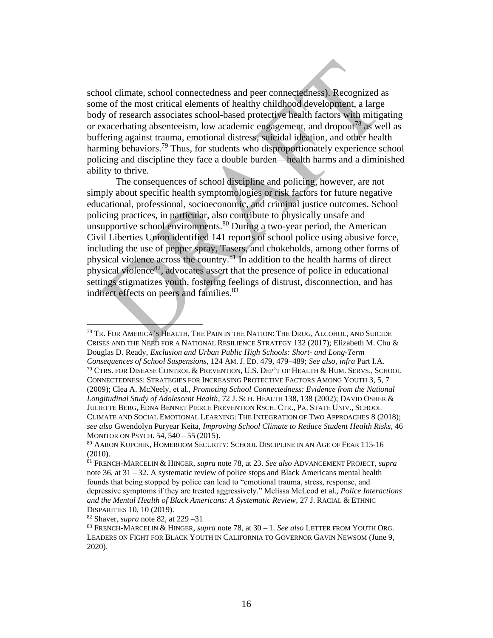school climate, school connectedness and peer connectedness). Recognized as some of the most critical elements of healthy childhood development, a large body of research associates school-based protective health factors with mitigating or exacerbating absenteeism, low academic engagement, and dropout<sup>78</sup> as well as buffering against trauma, emotional distress, suicidal ideation, and other health harming behaviors.<sup>79</sup> Thus, for students who disproportionately experience school policing and discipline they face a double burden—health harms and a diminished ability to thrive.

The consequences of school discipline and policing, however, are not simply about specific health symptomologies or risk factors for future negative educational, professional, socioeconomic, and criminal justice outcomes. School policing practices, in particular, also contribute to physically unsafe and unsupportive school environments.<sup>80</sup> During a two-year period, the American Civil Liberties Union identified 141 reports of school police using abusive force, including the use of pepper spray, Tasers, and chokeholds, among other forms of physical violence across the country.<sup>81</sup> In addition to the health harms of direct physical violence<sup>82</sup>, advocates assert that the presence of police in educational settings stigmatizes youth, fostering feelings of distrust, disconnection, and has indirect effects on peers and families.<sup>83</sup>

<sup>78</sup> TR. FOR AMERICA'S HEALTH, THE PAIN IN THE NATION: THE DRUG, ALCOHOL, AND SUICIDE CRISES AND THE NEED FOR A NATIONAL RESILIENCE STRATEGY 132 (2017); Elizabeth M. Chu & Douglas D. Ready, *Exclusion and Urban Public High Schools: Short- and Long-Term Consequences of School Suspensions*, 124 AM. J. ED. 479, 479–489; *See also*, *infra* Part I.A.  $^{79}$  Ctrs. for Disease Control & Prevention, U.S. Dep't of Health & Hum. Servs., School CONNECTEDNESS: STRATEGIES FOR INCREASING PROTECTIVE FACTORS AMONG YOUTH 3, 5, 7 (2009); Clea A. McNeely, et al., *Promoting School Connectedness: Evidence from the National Longitudinal Study of Adolescent Health*, 72 J. SCH. HEALTH 138, 138 (2002); DAVID OSHER & JULIETTE BERG, EDNA BENNET PIERCE PREVENTION RSCH. CTR., PA. STATE UNIV., SCHOOL CLIMATE AND SOCIAL EMOTIONAL LEARNING: THE INTEGRATION OF TWO APPROACHES 8 (2018); *see also* Gwendolyn Puryear Keita, *Improving School Climate to Reduce Student Health Risks*, 46 MONITOR ON PSYCH. 54, 540 – 55 (2015).

<sup>80</sup> AARON KUPCHIK, HOMEROOM SECURITY: SCHOOL DISCIPLINE IN AN AGE OF FEAR 115-16 (2010).

<sup>81</sup> FRENCH-MARCELIN & HINGER, *supra* note 78, at 23. *See also* ADVANCEMENT PROJECT, *supra*  note 36, at  $31 - 32$ . A systematic review of police stops and Black Americans mental health founds that being stopped by police can lead to "emotional trauma, stress, response, and depressive symptoms if they are treated aggressively." Melissa McLeod et al., *Police Interactions and the Mental Health of Black Americans: A Systematic Review*, 27 J. RACIAL & ETHNIC DISPARITIES 10, 10 (2019).

<sup>82</sup> Shaver, *supra* note 82, at 229 –31

<sup>83</sup> FRENCH-MARCELIN & HINGER, *supra* note 78, at 30 – 1. *See also* LETTER FROM YOUTH ORG. LEADERS ON FIGHT FOR BLACK YOUTH IN CALIFORNIA TO GOVERNOR GAVIN NEWSOM (June 9, 2020).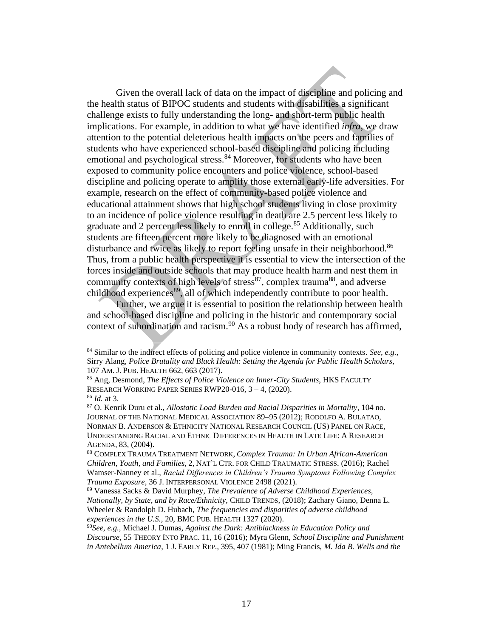Given the overall lack of data on the impact of discipline and policing and the health status of BIPOC students and students with disabilities a significant challenge exists to fully understanding the long- and short-term public health implications. For example, in addition to what we have identified *infra*, we draw attention to the potential deleterious health impacts on the peers and families of students who have experienced school-based discipline and policing including emotional and psychological stress.<sup>84</sup> Moreover, for students who have been exposed to community police encounters and police violence, school-based discipline and policing operate to amplify those external early-life adversities. For example, research on the effect of community-based police violence and educational attainment shows that high school students living in close proximity to an incidence of police violence resulting in death are 2.5 percent less likely to graduate and 2 percent less likely to enroll in college.<sup>85</sup> Additionally, such students are fifteen percent more likely to be diagnosed with an emotional disturbance and twice as likely to report feeling unsafe in their neighborhood.<sup>86</sup> Thus, from a public health perspective it is essential to view the intersection of the forces inside and outside schools that may produce health harm and nest them in community contexts of high levels of stress<sup>87</sup>, complex trauma<sup>88</sup>, and adverse childhood experiences<sup>89</sup>, all of which independently contribute to poor health.

Further, we argue it is essential to position the relationship between health and school-based discipline and policing in the historic and contemporary social context of subordination and racism.<sup>90</sup> As a robust body of research has affirmed,

<sup>84</sup> Similar to the indirect effects of policing and police violence in community contexts*. See, e.g.,*  Sirry Alang, *Police Brutality and Black Health: Setting the Agenda for Public Health Scholars*, 107 AM. J. PUB. HEALTH 662, 663 (2017).

<sup>85</sup> Ang, Desmond, *The Effects of Police Violence on Inner-City Students*, HKS FACULTY RESEARCH WORKING PAPER SERIES RWP20-016, 3 – 4, (2020).

<sup>86</sup> *Id.* at 3.

<sup>87</sup> O. Kenrik Duru et al., *Allostatic Load Burden and Racial Disparities in Mortality*, 104 no. JOURNAL OF THE NATIONAL MEDICAL ASSOCIATION 89–95 (2012); RODOLFO A. BULATAO, NORMAN B. ANDERSON & ETHNICITY NATIONAL RESEARCH COUNCIL (US) PANEL ON RACE, UNDERSTANDING RACIAL AND ETHNIC DIFFERENCES IN HEALTH IN LATE LIFE: A RESEARCH AGENDA, 83, (2004).

<sup>88</sup> COMPLEX TRAUMA TREATMENT NETWORK, *Complex Trauma: In Urban African-American Children, Youth, and Families*, 2, NAT'L CTR. FOR CHILD TRAUMATIC STRESS. (2016); Rachel Wamser-Nanney et al., *Racial Differences in Children's Trauma Symptoms Following Complex Trauma Exposure*, 36 J. INTERPERSONAL VIOLENCE 2498 (2021).

<sup>89</sup> Vanessa Sacks & David Murphey, *The Prevalence of Adverse Childhood Experiences, Nationally, by State, and by Race/Ethnicity*, CHILD TRENDS*,* (2018); Zachary Giano, Denna L. Wheeler & Randolph D. Hubach, *The frequencies and disparities of adverse childhood experiences in the U.S.*, 20, BMC PUB. HEALTH 1327 (2020).

<sup>90</sup>*See, e.g.,* Michael J. Dumas, *Against the Dark: Antiblackness in Education Policy and Discourse*, 55 THEORY INTO PRAC. 11, 16 (2016); Myra Glenn, *School Discipline and Punishment in Antebellum America*, 1 J. EARLY REP., 395, 407 (1981); Ming Francis, *M. Ida B. Wells and the*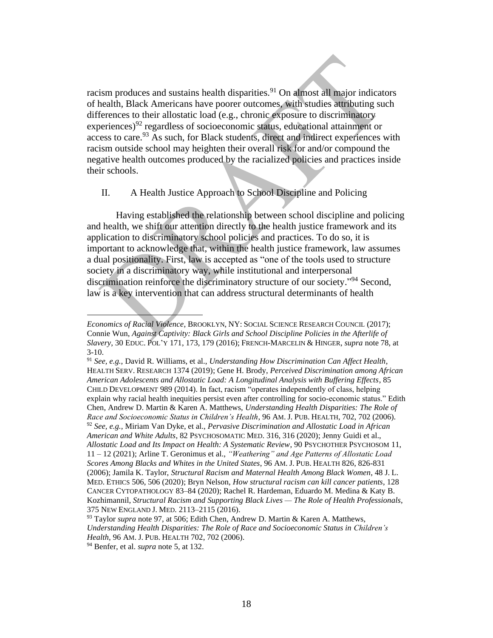racism produces and sustains health disparities.<sup>91</sup> On almost all major indicators of health, Black Americans have poorer outcomes, with studies attributing such differences to their allostatic load (e.g., chronic exposure to discriminatory experiences)<sup>92</sup> regardless of socioeconomic status, educational attainment or access to care. <sup>93</sup> As such, for Black students, direct and indirect experiences with racism outside school may heighten their overall risk for and/or compound the negative health outcomes produced by the racialized policies and practices inside their schools.

### <span id="page-17-0"></span>II. A Health Justice Approach to School Discipline and Policing

Having established the relationship between school discipline and policing and health, we shift our attention directly to the health justice framework and its application to discriminatory school policies and practices. To do so, it is important to acknowledge that, within the health justice framework, law assumes a dual positionality. First, law is accepted as "one of the tools used to structure society in a discriminatory way, while institutional and interpersonal discrimination reinforce the discriminatory structure of our society." <sup>94</sup> Second, law is a key intervention that can address structural determinants of health

*Economics of Racial Violence*, BROOKLYN, NY: SOCIAL SCIENCE RESEARCH COUNCIL (2017); Connie Wun, *Against Captivity: Black Girls and School Discipline Policies in the Afterlife of Slavery*, 30 EDUC. POL'Y 171, 173, 179 (2016); FRENCH-MARCELIN & HINGER, *supra* note 78, at  $3-10.$ 

<sup>91</sup> *See, e.g.,* David R. Williams, et al., *Understanding How Discrimination Can Affect Health*, HEALTH SERV. RESEARCH 1374 (2019); Gene H. Brody, *Perceived Discrimination among African American Adolescents and Allostatic Load: A Longitudinal Analysis with Buffering Effects*, 85 CHILD DEVELOPMENT 989 (2014). In fact, racism "operates independently of class, helping explain why racial health inequities persist even after controlling for socio-economic status." Edith Chen, Andrew D. Martin & Karen A. Matthews, *Understanding Health Disparities: The Role of Race and Socioeconomic Status in Children's Health*, 96 AM. J. PUB. HEALTH, 702, 702 (2006). <sup>92</sup> *See, e.g.,* Miriam Van Dyke, et al., *Pervasive Discrimination and Allostatic Load in African American and White Adults*, 82 PSYCHOSOMATIC MED. 316, 316 (2020); Jenny Guidi et al., *Allostatic Load and Its Impact on Health: A Systematic Review*, 90 PSYCHOTHER PSYCHOSOM 11, 11 – 12 (2021); Arline T. Geronimus et al., *"Weathering" and Age Patterns of Allostatic Load Scores Among Blacks and Whites in the United States*, 96 AM. J. PUB. HEALTH 826, 826-831 (2006); Jamila K. Taylor, *Structural Racism and Maternal Health Among Black Women*, 48 J. L. MED. ETHICS 506, 506 (2020); Bryn Nelson, *How structural racism can kill cancer patients*, 128 CANCER CYTOPATHOLOGY 83–84 (2020); Rachel R. Hardeman, Eduardo M. Medina & Katy B. Kozhimannil, *Structural Racism and Supporting Black Lives — The Role of Health Professionals*, 375 NEW ENGLAND J. MED. 2113–2115 (2016).

<sup>&</sup>lt;sup>93</sup> Taylor *supra* note 97, at 506; Edith Chen, Andrew D. Martin & Karen A. Matthews, *Understanding Health Disparities: The Role of Race and Socioeconomic Status in Children's Health*, 96 AM. J. PUB. HEALTH 702, 702 (2006).

<sup>94</sup> Benfer, et al. *supra* note 5, at 132.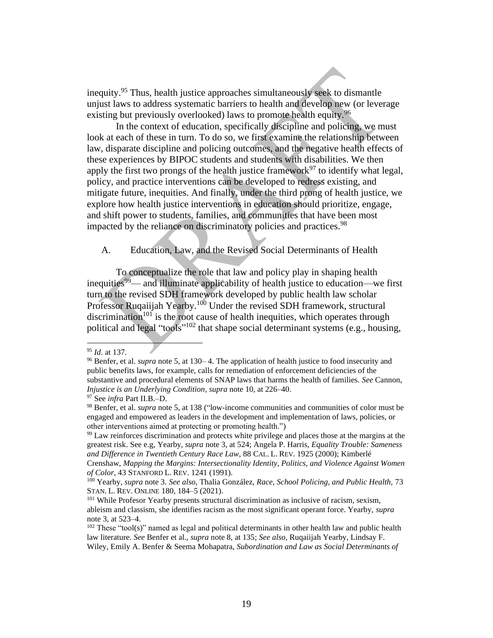inequity. <sup>95</sup> Thus, health justice approaches simultaneously seek to dismantle unjust laws to address systematic barriers to health and develop new (or leverage existing but previously overlooked) laws to promote health equity.<sup>96</sup>

In the context of education, specifically discipline and policing, we must look at each of these in turn. To do so, we first examine the relationship between law, disparate discipline and policing outcomes, and the negative health effects of these experiences by BIPOC students and students with disabilities. We then apply the first two prongs of the health justice framework<sup>97</sup> to identify what legal, policy, and practice interventions can be developed to redress existing, and mitigate future, inequities. And finally, under the third prong of health justice, we explore how health justice interventions in education should prioritize, engage, and shift power to students, families, and communities that have been most impacted by the reliance on discriminatory policies and practices.<sup>98</sup>

<span id="page-18-0"></span>A. Education, Law, and the Revised Social Determinants of Health

To conceptualize the role that law and policy play in shaping health inequities<sup>99</sup>— and illuminate applicability of health justice to education—we first turn to the revised SDH framework developed by public health law scholar Professor Ruqaiijah Yearby.<sup>100</sup> Under the revised SDH framework, structural discrimination<sup>101</sup> is the root cause of health inequities, which operates through political and legal "tools"<sup>102</sup> that shape social determinant systems (e.g., housing,

<sup>95</sup> *Id*. at 137.

<sup>96</sup> Benfer, et al. *supra* note 5, at 130– 4. The application of health justice to food insecurity and public benefits laws, for example, calls for remediation of enforcement deficiencies of the substantive and procedural elements of SNAP laws that harms the health of families. *See* Cannon, *Injustice is an Underlying Condition, supra* note 10, at 226–40.

<sup>97</sup> See *infra* Part II.B.–D.

<sup>98</sup> Benfer, et al. *supra* note 5, at 138 ("low-income communities and communities of color must be engaged and empowered as leaders in the development and implementation of laws, policies, or other interventions aimed at protecting or promoting health.")

<sup>&</sup>lt;sup>99</sup> Law reinforces discrimination and protects white privilege and places those at the margins at the greatest risk. See e.g, Yearby, *supra* note 3, at 524; Angela P. Harris, *Equality Trouble: Sameness and Difference in Twentieth Century Race Law*, 88 CAL. L. REV. 1925 (2000); Kimberlé

Crenshaw, *Mapping the Margins: Intersectionality Identity, Politics, and Violence Against Women of Color*, 43 STANFORD L. REV. 1241 (1991).

<sup>100</sup> Yearby, *supra* note 3. *See also*, Thalia González, *Race, School Policing, and Public Health,* 73 STAN. L. REV. ONLINE 180, 184–5 (2021).

<sup>&</sup>lt;sup>101</sup> While Profesor Yearby presents structural discrimination as inclusive of racism, sexism, ableism and classism, she identifies racism as the most significant operant force. Yearby, *supra*  note 3, at 523–4.

 $102$  These "tool(s)" named as legal and political determinants in other health law and public health law literature. *See* Benfer et al., *supra* note 8, at 135; *See also*, Ruqaiijah Yearby, Lindsay F. Wiley, Emily A. Benfer & Seema Mohapatra, *Subordination and Law as Social Determinants of*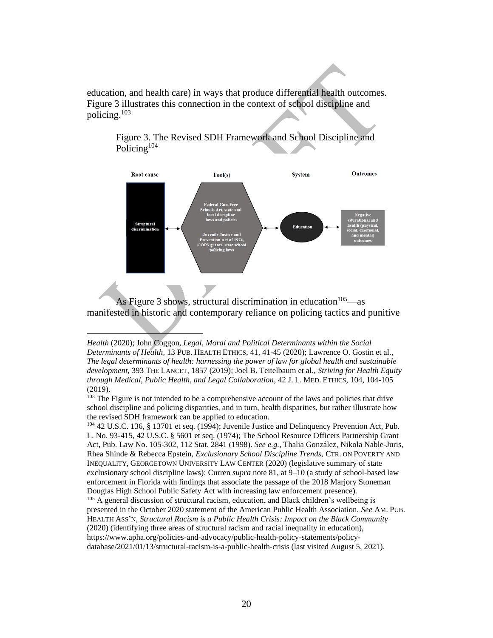education, and health care) in ways that produce differential health outcomes. Figure 3 illustrates this connection in the context of school discipline and policing.<sup>103</sup>



Figure 3. The Revised SDH Framework and School Discipline and Policing<sup>104</sup>

As Figure 3 shows, structural discrimination in education  $105$ —as manifested in historic and contemporary reliance on policing tactics and punitive

<sup>104</sup> 42 U.S.C. 136, § 13701 et seq. (1994); Juvenile Justice and Delinquency Prevention Act, Pub. L. No. 93-415, 42 U.S.C. § 5601 et seq. (1974); The School Resource Officers Partnership Grant Act, Pub. Law No. 105-302, 112 Stat. 2841 (1998). *See e.g.*, Thalia González, Nikola Nable-Juris, Rhea Shinde & Rebecca Epstein, *Exclusionary School Discipline Trends*, CTR. ON POVERTY AND INEQUALITY, GEORGETOWN UNIVERSITY LAW CENTER (2020) (legislative summary of state exclusionary school discipline laws); Curren *supra* note 81, at 9–10 (a study of school-based law enforcement in Florida with findings that associate the passage of the 2018 Marjory Stoneman Douglas High School Public Safety Act with increasing law enforcement presence). <sup>105</sup> A general discussion of structural racism, education, and Black children's wellbeing is

presented in the October 2020 statement of the American Public Health Association. *See* AM. PUB. HEALTH ASS'N, *Structural Racism is a Public Health Crisis: Impact on the Black Community* (2020) (identifying three areas of structural racism and racial inequality in education), https://www.apha.org/policies-and-advocacy/public-health-policy-statements/policydatabase/2021/01/13/structural-racism-is-a-public-health-crisis (last visited August 5, 2021).

*Health* (2020); John Coggon, *Legal, Moral and Political Determinants within the Social Determinants of Health*, 13 PUB. HEALTH ETHICS, 41, 41-45 (2020); Lawrence O. Gostin et al., *The legal determinants of health: harnessing the power of law for global health and sustainable development*, 393 THE LANCET, 1857 (2019); Joel B. Teitelbaum et al., *Striving for Health Equity through Medical, Public Health, and Legal Collaboration*, 42 J. L. MED. ETHICS, 104, 104-105 (2019).

<sup>&</sup>lt;sup>103</sup> The Figure is not intended to be a comprehensive account of the laws and policies that drive school discipline and policing disparities, and in turn, health disparities, but rather illustrate how the revised SDH framework can be applied to education.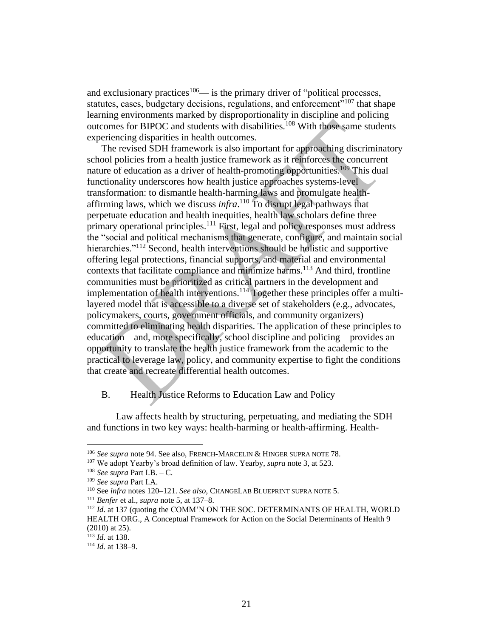and exclusionary practices<sup>106</sup>— is the primary driver of "political processes, statutes, cases, budgetary decisions, regulations, and enforcement<sup> $5107$ </sup> that shape learning environments marked by disproportionality in discipline and policing outcomes for BIPOC and students with disabilities.<sup>108</sup> With those same students experiencing disparities in health outcomes.

The revised SDH framework is also important for approaching discriminatory school policies from a health justice framework as it reinforces the concurrent nature of education as a driver of health-promoting opportunities.<sup>109</sup> This dual functionality underscores how health justice approaches systems-level transformation: to dismantle health-harming laws and promulgate healthaffirming laws, which we discuss *infra*. <sup>110</sup> To disrupt legal pathways that perpetuate education and health inequities, health law scholars define three primary operational principles.<sup>111</sup> First, legal and policy responses must address the "social and political mechanisms that generate, configure, and maintain social hierarchies."<sup>112</sup> Second, health interventions should be holistic and supportive offering legal protections, financial supports, and material and environmental contexts that facilitate compliance and minimize harms.<sup>113</sup> And third, frontline communities must be prioritized as critical partners in the development and implementation of health interventions.<sup>114</sup> Together these principles offer a multilayered model that is accessible to a diverse set of stakeholders (e.g., advocates, policymakers, courts, government officials, and community organizers) committed to eliminating health disparities. The application of these principles to education—and, more specifically, school discipline and policing—provides an opportunity to translate the health justice framework from the academic to the practical to leverage law, policy, and community expertise to fight the conditions that create and recreate differential health outcomes.

### <span id="page-20-0"></span>B. Health Justice Reforms to Education Law and Policy

Law affects health by structuring, perpetuating, and mediating the SDH and functions in two key ways: health-harming or health-affirming. Health-

<sup>106</sup> *See supra* note 94. See also, FRENCH-MARCELIN & HINGER SUPRA NOTE 78.

<sup>107</sup> We adopt Yearby's broad definition of law. Yearby, *supra* note 3, at 523.

<sup>108</sup> *See supra* Part I.B. – C.

<sup>109</sup> *See supra* Part I.A.

<sup>110</sup> See *infra* notes 120–121. *See also*, CHANGELAB BLUEPRINT SUPRA NOTE 5.

<sup>111</sup> *Benfer* et al., *supra* note 5, at 137–8.

<sup>112</sup> *Id*. at 137 (quoting the COMM'N ON THE SOC. DETERMINANTS OF HEALTH, WORLD HEALTH ORG., A Conceptual Framework for Action on the Social Determinants of Health 9 (2010) at 25).

<sup>113</sup> *Id*. at 138.

<sup>114</sup> *Id.* at 138–9.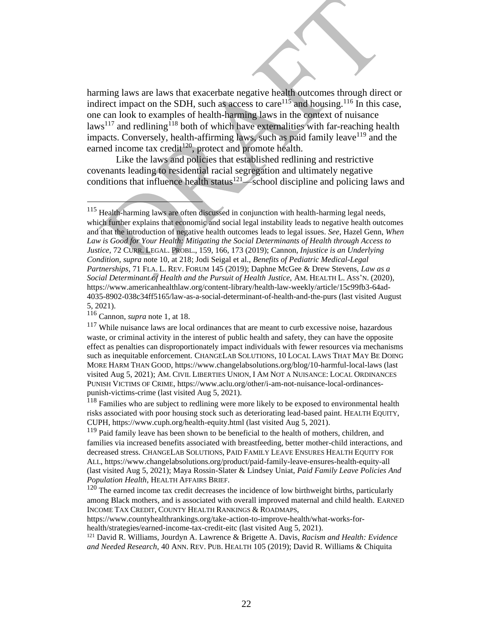harming laws are laws that exacerbate negative health outcomes through direct or indirect impact on the SDH, such as access to care<sup>115</sup> and housing.<sup>116</sup> In this case, one can look to examples of health-harming laws in the context of nuisance  $\text{laws}^{117}$  and redlining<sup>118</sup> both of which have externalities with far-reaching health impacts. Conversely, health-affirming laws, such as paid family leave<sup>119</sup> and the earned income tax credit<sup>120</sup>, protect and promote health.

Like the laws and policies that established redlining and restrictive covenants leading to residential racial segregation and ultimately negative conditions that influence health status $121$  school discipline and policing laws and

 $118$  Families who are subject to redlining were more likely to be exposed to environmental health risks associated with poor housing stock such as deteriorating lead-based paint. HEALTH EQUITY, CUPH, [h](https://www.cuph.org/health-equity.html)ttps://www.cuph.org/health-equity.html (last visited Aug 5, 2021).

<sup>119</sup> Paid family leave has been shown to be beneficial to the health of mothers, children, and families via increased benefits associated with breastfeeding, better mother-child interactions, and decreased stress. CHANGELAB SOLUTIONS[,](https://www.changelabsolutions.org/product/paid-family-leave-ensures-health-equity-all) PAID FAMILY LEAVE ENSURES HEALTH EQUITY FOR ALL, https://www.changelabsolutions.org/product/paid-family-leave-ensures-health-equity-all (last visited Aug 5, 2021); Maya Rossin-Slater & Lindsey Uniat, *Paid Family Leave Policies And Population Health*, HEALTH AFFAIRS BRIEF.

 $120$  The earned income tax credit decreases the incidence of low birthweight births, particularly among Black mothers, and is associated with overall improved maternal and child health. EARNED INCOME TAX CREDIT, COUNTY HEALTH RANKINGS & ROADMAPS[,](https://www.countyhealthrankings.org/take-action-to-improve-health/what-works-for-health/strategies/earned-income-tax-credit-eitc)

https://www.countyhealthrankings.org/take-action-to-improve-health/what-works-forhealth/strategies/earned-income-tax-credit-eitc (last visited Aug 5, 2021).

<sup>121</sup> David R. Williams, Jourdyn A. Lawrence & Brigette A. Davis, *Racism and Health: Evidence and Needed Research,* 40 ANN. REV. PUB. HEALTH 105 (2019); David R. Williams & Chiquita

<sup>115</sup> Health-harming laws are often discussed in conjunction with health-harming legal needs, which further explains that economic and social legal instability leads to negative health outcomes and that the introduction of negative health outcomes leads to legal issues. *See*, Hazel Genn, *When Law is Good for Your Health: Mitigating the Social Determinants of Health through Access to Justice,* 72 CURR. LEGAL. PROBL., 159, 166, 173 (2019); Cannon, *Injustice is an Underlying Condition, supra* note 10, at 218; Jodi Seigal et al., *Benefits of Pediatric Medical-Legal Partnerships*, 71 FLA. L. REV. FORUM 145 (2019); Daphne McGee & Drew Stevens, *Law as a Social Determinant of Health and the Pursuit of Health Justice,* AM. HEALTH L. ASS'N. (2020), https://www.americanhealthlaw.org/content-library/health-law-weekly/article/15c99fb3-64ad-4035-8902-038c34ff5165/law-as-a-social-determinant-of-health-and-the-purs (last visited August 5, 2021).

<sup>116</sup> Cannon, *supra* note 1, at 18.

 $117$  While nuisance laws are local ordinances that are meant to curb excessive noise, hazardous waste, or criminal activity in the interest of public health and safety, they can have the opposite effect as penalties can disproportionately impact individuals with fewer resources via mechanisms such as inequitable enforcement. CHANGELAB SOLUTIONS, 10 LOCAL LAWS THAT MAY BE DOING MORE HARM THAN GOOD, https://www.changelabsolutions.org/blog/10-harmful-local-laws (last visited Aug 5, 2021); AM. CIVIL LIBERTIES UNION, I AM NOT A NUISANCE: LOCAL ORDINANCES PUNISH VICTIMS OF CRIME[,](https://www.aclu.org/other/i-am-not-nuisance-local-ordinances-punish-victims-crime) https://www.aclu.org/other/i-am-not-nuisance-local-ordinancespunish-victims-crime (last visited Aug 5, 2021).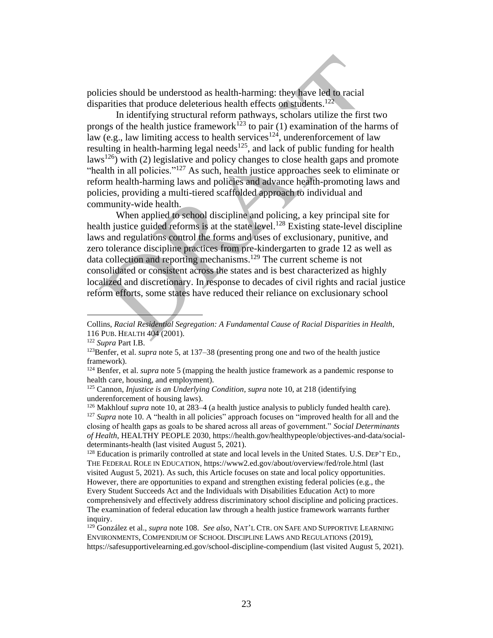policies should be understood as health-harming: they have led to racial disparities that produce deleterious health effects on students.<sup>122</sup>

In identifying structural reform pathways, scholars utilize the first two prongs of the health justice framework<sup>123</sup> to pair (1) examination of the harms of law (e.g., law limiting access to health services<sup>124</sup>, underenforcement of law resulting in health-harming legal needs<sup>125</sup>, and lack of public funding for health laws<sup>126</sup>) with (2) legislative and policy changes to close health gaps and promote "health in all policies."<sup>127</sup> As such, health justice approaches seek to eliminate or reform health-harming laws and policies and advance health-promoting laws and policies, providing a multi-tiered scaffolded approach to individual and community-wide health.

When applied to school discipline and policing, a key principal site for health justice guided reforms is at the state level.<sup>128</sup> Existing state-level discipline laws and regulations control the forms and uses of exclusionary, punitive, and zero tolerance discipline practices from pre-kindergarten to grade 12 as well as data collection and reporting mechanisms. <sup>129</sup> The current scheme is not consolidated or consistent across the states and is best characterized as highly localized and discretionary. In response to decades of civil rights and racial justice reform efforts, some states have reduced their reliance on exclusionary school

<sup>128</sup> Education is primarily controlled at state and local levels in the United States. U.S. DEP'T ED., THE FEDERAL ROLE IN EDUCATION, https://www2.ed.gov/about/overview/fed/role.html (last visited August 5, 2021). As such, this Article focuses on state and local policy opportunities. However, there are opportunities to expand and strengthen existing federal policies (e.g., the Every Student Succeeds Act and the Individuals with Disabilities Education Act) to more comprehensively and effectively address discriminatory school discipline and policing practices. The examination of federal education law through a health justice framework warrants further inquiry.

Collins, *Racial Residential Segregation: A Fundamental Cause of Racial Disparities in Health*, 116 PUB. HEALTH 404 (2001).

<sup>122</sup> *Supra* Part I.B.

<sup>123</sup>Benfer, et al. *supra* note 5, at 137–38 (presenting prong one and two of the health justice framework).

<sup>124</sup> Benfer, et al. *supra* note 5 (mapping the health justice framework as a pandemic response to health care, housing, and employment).

<sup>125</sup> Cannon, *Injustice is an Underlying Condition, supra* note 10, at 218 (identifying underenforcement of housing laws).

<sup>&</sup>lt;sup>126</sup> Makhlouf *supra* note 10, at 283–4 (a health justice analysis to publicly funded health care). <sup>127</sup> *Supra* note 10. A "health in all policies" approach focuses on "improved health for all and the closing of health gaps as goals to be shared across all areas of government." *Social Determinants of Health*, HEALTHY PEOPLE 2030, https://health.gov/healthypeople/objectives-and-data/socialdeterminants-health (last visited August 5, 2021).

<sup>129</sup> González et al., *supra* note 108. *See also*, NAT'L CTR. ON SAFE AND SUPPORTIVE LEARNING ENVIRONMENTS, COMPENDIUM OF SCHOOL DISCIPLINE LAWS AND REGULATIONS (2019), https://safesupportivelearning.ed.gov/school-discipline-compendium (last visited August 5, 2021).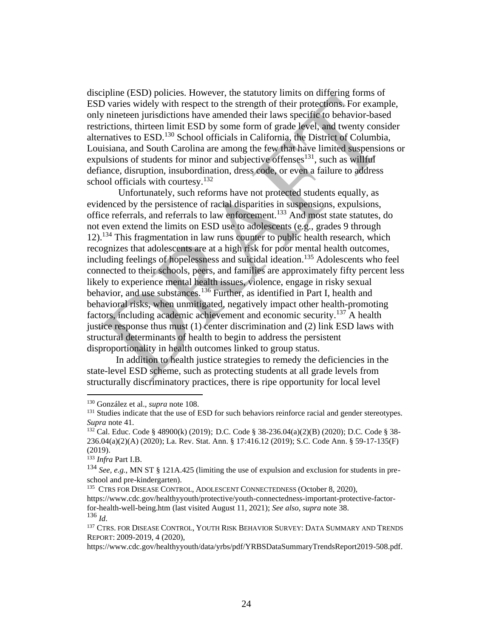discipline (ESD) policies. However, the statutory limits on differing forms of ESD varies widely with respect to the strength of their protections. For example, only nineteen jurisdictions have amended their laws specific to behavior-based restrictions, thirteen limit ESD by some form of grade level, and twenty consider alternatives to ESD. <sup>130</sup> School officials in California, the District of Columbia, Louisiana, and South Carolina are among the few that have limited suspensions or expulsions of students for minor and subjective offenses $^{131}$ , such as willful defiance, disruption, insubordination, dress code, or even a failure to address school officials with courtesy.<sup>132</sup>

Unfortunately, such reforms have not protected students equally, as evidenced by the persistence of racial disparities in suspensions, expulsions, office referrals, and referrals to law enforcement.<sup>133</sup> And most state statutes, do not even extend the limits on ESD use to adolescents (e.g., grades 9 through 12). <sup>134</sup> This fragmentation in law runs counter to public health research, which recognizes that adolescents are at a high risk for poor mental health outcomes, including feelings of hopelessness and suicidal ideation. <sup>135</sup> Adolescents who feel connected to their schools, peers, and families are approximately fifty percent less likely to experience mental health issues, violence, engage in risky sexual behavior, and use substances.<sup>136</sup> Further, as identified in Part I, health and behavioral risks, when unmitigated, negatively impact other health-promoting factors, including academic achievement and economic security.<sup>137</sup> A health justice response thus must (1) center discrimination and (2) link ESD laws with structural determinants of health to begin to address the persistent disproportionality in health outcomes linked to group status.

In addition to health justice strategies to remedy the deficiencies in the state-level ESD scheme, such as protecting students at all grade levels from structurally discriminatory practices, there is ripe opportunity for local level

<sup>130</sup> González et al., *supra* note 108.

<sup>&</sup>lt;sup>131</sup> Studies indicate that the use of ESD for such behaviors reinforce racial and gender stereotypes. *Supra* note 41.

<sup>132</sup> Cal. Educ. Code § 48900(k) (2019); D.C. Code § 38-236.04(a)(2)(B) (2020); D.C. Code § 38- 236.04(a)(2)(A) (2020); La. Rev. Stat. Ann. § 17:416.12 (2019); S.C. Code Ann. § 59-17-135(F) (2019).

<sup>133</sup> *Infra* Part I.B.

<sup>134</sup> *See, e.g.*, MN ST § 121A.425 (limiting the use of expulsion and exclusion for students in preschool and pre-kindergarten).

<sup>&</sup>lt;sup>135</sup> CTRS FOR DISEASE CONTROL, ADOLESCENT CONNECTEDNESS (October 8, 2020),

[https://www.cdc.gov/healthyyouth/protective/youth-connectedness-important-protective-factor](https://www.cdc.gov/healthyyouth/protective/youth-connectedness-important-protective-factor-for-health-well-being.htm)[for-health-well-being.htm](https://www.cdc.gov/healthyyouth/protective/youth-connectedness-important-protective-factor-for-health-well-being.htm) (last visited August 11, 2021); *See also*, *supra* note 38. <sup>136</sup> *Id*.

<sup>&</sup>lt;sup>137</sup> CTRS. FOR DISEASE CONTROL, YOUTH RISK BEHAVIOR SURVEY: DATA SUMMARY AND TRENDS REPORT: 2009-2019, 4 (2020),

https://www.cdc.gov/healthyyouth/data/yrbs/pdf/YRBSDataSummaryTrendsReport2019-508.pdf.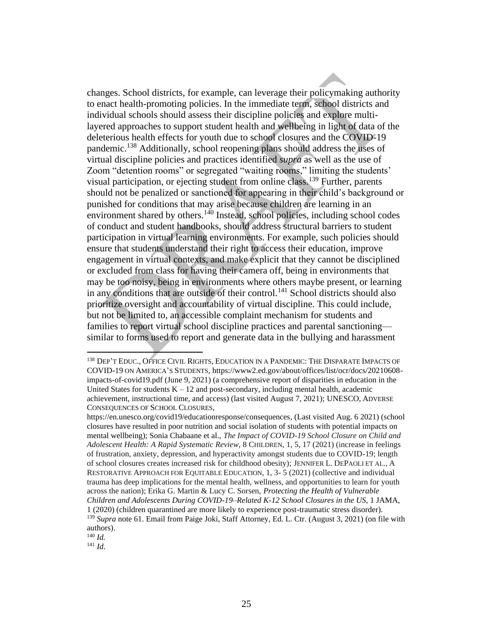changes. School districts, for example, can leverage their policymaking authority to enact health-promoting policies. In the immediate term, school districts and individual schools should assess their discipline policies and explore multilayered approaches to support student health and wellbeing in light of data of the deleterious health effects for youth due to school closures and the COVID-19 pandemic.<sup>138</sup> Additionally, school reopening plans should address the uses of virtual discipline policies and practices identified *supra* as well as the use of Zoom "detention rooms" or segregated "waiting rooms," limiting the students' visual participation, or ejecting student from online class.<sup>139</sup> Further, parents should not be penalized or sanctioned for appearing in their child's background or punished for conditions that may arise because children are learning in an environment shared by others.<sup>140</sup> Instead, school policies, including school codes of conduct and student handbooks, should address structural barriers to student participation in virtual learning environments. For example, such policies should ensure that students understand their right to access their education, improve engagement in virtual contexts, and make explicit that they cannot be disciplined or excluded from class for having their camera off, being in environments that may be too noisy, being in environments where others maybe present, or learning in any conditions that are outside of their control.<sup>141</sup> School districts should also prioritize oversight and accountability of virtual discipline. This could include, but not be limited to, an accessible complaint mechanism for students and families to report virtual school discipline practices and parental sanctioning similar to forms used to report and generate data in the bullying and harassment

<sup>138</sup> DEP'T EDUC., OFFICE CIVIL RIGHTS, EDUCATION IN A PANDEMIC: THE DISPARATE IMPACTS OF COVID-19 ON AMERICA'S STUDENTS, https://www2.ed.gov/about/offices/list/ocr/docs/20210608 impacts-of-covid19.pdf (June 9, 2021) (a comprehensive report of disparities in education in the United States for students  $K - 12$  and post-secondary, including mental health, academic achievement, instructional time, and access) (last visited August 7, 2021); UNESCO, ADVERSE CONSEQUENCES OF SCHOOL CLOSURES,

[https://en.unesco.org/covid19/educationresponse/consequences,](https://en.unesco.org/covid19/educationresponse/consequences) (Last visited Aug. 6 2021) (school closures have resulted in poor nutrition and social isolation of students with potential impacts on mental wellbeing); Sonia Chabaane et al., *The Impact of COVID-19 School Closure on Child and Adolescent Health: A Rapid Systematic Review,* 8 CHILDREN, 1, 5, 17 (2021) (increase in feelings of frustration, anxiety, depression, and hyperactivity amongst students due to COVID-19; length of school closures creates increased risk for childhood obesity); JENNIFER L. DEPAOLI ET AL., A RESTORATIVE APPROACH FOR EQUITABLE EDUCATION, 1, 3- 5 (2021) (collective and individual trauma has deep implications for the mental health, wellness, and opportunities to learn for youth across the nation); Erika G. Martin & Lucy C. Sorsen, *Protecting the Health of Vulnerable Children and Adolescents During COVID-19–Related K-12 School Closures in the US,* 1 JAMA, 1 (2020) (children quarantined are more likely to experience post-traumatic stress disorder). <sup>139</sup> *Supra* note 61. Email from Paige Joki, Staff Attorney, Ed. L. Ctr. (August 3, 2021) (on file with authors).

<sup>140</sup> *Id.*

<sup>141</sup> *Id*.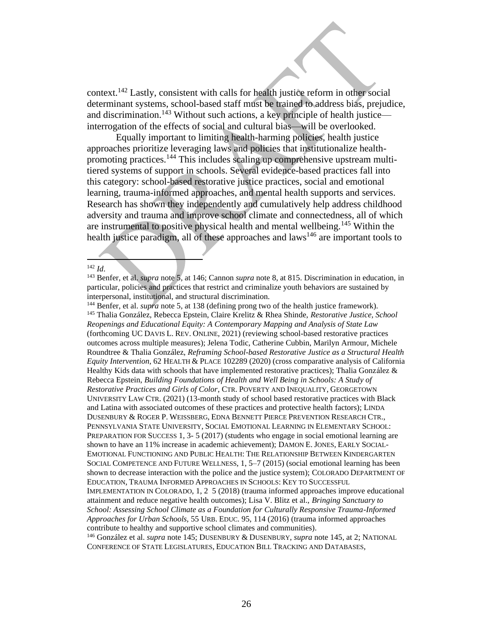context.<sup>142</sup> Lastly, consistent with calls for health justice reform in other social determinant systems, school-based staff must be trained to address bias, prejudice, and discrimination.<sup>143</sup> Without such actions, a key principle of health justice interrogation of the effects of social and cultural bias—will be overlooked.

Equally important to limiting health-harming policies, health justice approaches prioritize leveraging laws and policies that institutionalize healthpromoting practices.<sup>144</sup> This includes scaling up comprehensive upstream multitiered systems of support in schools. Several evidence-based practices fall into this category: school-based restorative justice practices, social and emotional learning, trauma-informed approaches, and mental health supports and services. Research has shown they independently and cumulatively help address childhood adversity and trauma and improve school climate and connectedness, all of which are instrumental to positive physical health and mental wellbeing.<sup>145</sup> Within the health justice paradigm, all of these approaches and  $laws<sup>146</sup>$  are important tools to

CONFERENCE OF STATE LEGISLATURES, EDUCATION BILL TRACKING AND DATABASES*,*

<sup>142</sup> *Id*.

<sup>143</sup> Benfer, et al. *supra* note 5, at 146; Cannon *supra* note 8, at 815. Discrimination in education, in particular, policies and practices that restrict and criminalize youth behaviors are sustained by interpersonal, institutional, and structural discrimination.

<sup>144</sup> Benfer, et al. *supra* note 5, at 138 (defining prong two of the health justice framework). <sup>145</sup> Thalia González, Rebecca Epstein, Claire Krelitz & Rhea Shinde, *Restorative Justice, School Reopenings and Educational Equity: A Contemporary Mapping and Analysis of State Law*  (forthcoming UC DAVIS L. REV. ONLINE*,* 2021) (reviewing school-based restorative practices outcomes across multiple measures); Jelena Todic, Catherine Cubbin, Marilyn Armour, Michele Roundtree & Thalia González, *Reframing School-based Restorative Justice as a Structural Health Equity Intervention*, 62 HEALTH & PLACE 102289 (2020) (cross comparative analysis of California Healthy Kids data with schools that have implemented restorative practices); Thalia González  $\&$ Rebecca Epstein, *Building Foundations of Health and Well Being in Schools: A Study of Restorative Practices and Girls of Color*, CTR. POVERTY AND INEQUALITY, GEORGETOWN UNIVERSITY LAW CTR. (2021) (13-month study of school based restorative practices with Black and Latina with associated outcomes of these practices and protective health factors); LINDA DUSENBURY & ROGER P. WEISSBERG, EDNA BENNETT PIERCE PREVENTION RESEARCH CTR., PENNSYLVANIA STATE UNIVERSITY, SOCIAL EMOTIONAL LEARNING IN ELEMENTARY SCHOOL: PREPARATION FOR SUCCESS 1, 3- 5 (2017) (students who engage in social emotional learning are shown to have an 11% increase in academic achievement); DAMON E. JONES, EARLY SOCIAL-EMOTIONAL FUNCTIONING AND PUBLIC HEALTH: THE RELATIONSHIP BETWEEN KINDERGARTEN SOCIAL COMPETENCE AND FUTURE WELLNESS, 1, 5–7 (2015) (social emotional learning has been shown to decrease interaction with the police and the justice system); COLORADO DEPARTMENT OF EDUCATION, TRAUMA INFORMED APPROACHES IN SCHOOLS: KEY TO SUCCESSFUL IMPLEMENTATION IN COLORADO, 1, 2 5 (2018) (trauma informed approaches improve educational attainment and reduce negative health outcomes); Lisa V. Blitz et al., *Bringing Sanctuary to School: Assessing School Climate as a Foundation for Culturally Responsive Trauma-Informed Approaches for Urban Schools,* 55 URB. EDUC. 95, 114 (2016) (trauma informed approaches contribute to healthy and supportive school climates and communities). <sup>146</sup> González et al. *supra* note 145; DUSENBURY & DUSENBURY, *supra* note 145, at 2; NATIONAL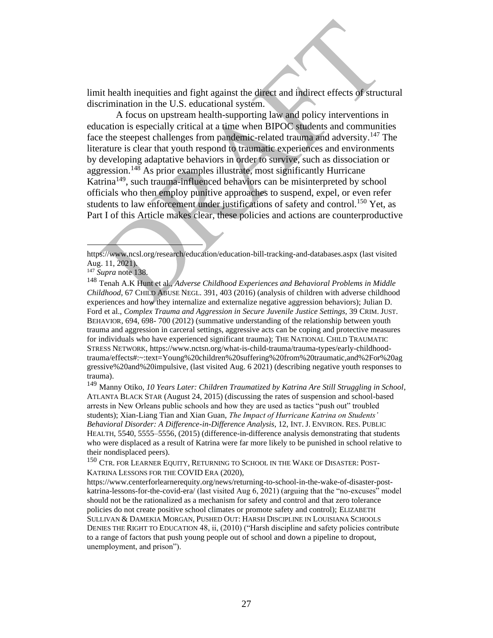limit health inequities and fight against the direct and indirect effects of structural discrimination in the U.S. educational system.

A focus on upstream health-supporting law and policy interventions in education is especially critical at a time when BIPOC students and communities face the steepest challenges from pandemic-related trauma and adversity.<sup>147</sup> The literature is clear that youth respond to traumatic experiences and environments by developing adaptative behaviors in order to survive, such as dissociation or aggression.<sup>148</sup> As prior examples illustrate, most significantly Hurricane Katrina<sup>149</sup>, such trauma-influenced behaviors can be misinterpreted by school officials who then employ punitive approaches to suspend, expel, or even refer students to law enforcement under justifications of safety and control.<sup>150</sup> Yet, as Part I of this Article makes clear, these policies and actions are counterproductive

<sup>149</sup> Manny Otiko, *10 Years Later: Children Traumatized by Katrina Are Still Struggling in School*, ATLANTA BLACK STAR (August 24, 2015) (discussing the rates of suspension and school-based arrests in New Orleans public schools and how they are used as tactics "push out" troubled students); Xian-Liang Tian and Xian Guan, *The Impact of Hurricane Katrina on Students' Behavioral Disorder: A Difference-in-Difference Analysis*, 12, INT. J. ENVIRON. RES. PUBLIC HEALTH, 5540, 5555–5556, (2015) (difference-in-difference analysis demonstrating that students who were displaced as a result of Katrina were far more likely to be punished in school relative to their nondisplaced peers).

<sup>150</sup> CTR. FOR LEARNER EQUITY, RETURNING TO SCHOOL IN THE WAKE OF DISASTER: POST-KATRINA LESSONS FOR THE COVID ERA (2020)[,](https://www.centerforlearnerequity.org/news/returning-to-school-in-the-wake-of-disaster-post-katrina-lessons-for-the-covid-era/)

https://www.centerforlearnerequity.org/news/returning-to-school-in-the-wake-of-disaster-postkatrina-lessons-for-the-covid-era/ (last visited Aug 6, 2021) (arguing that the "no-excuses" model should not be the rationalized as a mechanism for safety and control and that zero tolerance policies do not create positive school climates or promote safety and control); ELIZABETH SULLIVAN & DAMEKIA MORGAN, PUSHED OUT: HARSH DISCIPLINE IN LOUISIANA SCHOOLS DENIES THE RIGHT TO EDUCATION 48, ii, (2010) ("Harsh discipline and safety policies contribute to a range of factors that push young people out of school and down a pipeline to dropout, unemployment, and prison").

<https://www.ncsl.org/research/education/education-bill-tracking-and-databases.aspx> (last visited Aug. 11, 2021).

<sup>147</sup> *Supra* note 138.

<sup>148</sup> Tenah A.K Hunt et al., *Adverse Childhood Experiences and Behavioral Problems in Middle Childhood,* 67 CHILD ABUSE NEGL. 391, 403 (2016) (analysis of children with adverse childhood experiences and how they internalize and externalize negative aggression behaviors); [Julian D.](https://journals-sagepub-com.oxy.idm.oclc.org/action/doSearch?target=default&ContribAuthorStored=Ford%2C+Julian+D)  [Ford](https://journals-sagepub-com.oxy.idm.oclc.org/action/doSearch?target=default&ContribAuthorStored=Ford%2C+Julian+D) et al., *Complex Trauma and Aggression in Secure Juvenile Justice Settings,* 39 CRIM. JUST. BEHAVIOR, 694, 698- 700 (2012) (summative understanding of the relationship between youth trauma and aggression in carceral settings, aggressive acts can be coping and protective measures for individuals who have experienced significant trauma); THE NATIONAL CHILD TRAUMATIC STRESS NETWORK, [https://www.nctsn.org/what-is-child-trauma/trauma-types/early-childhood](https://www.nctsn.org/what-is-child-trauma/trauma-types/early-childhood-trauma/effects#:~:text=Young%20children%20suffering%20from%20traumatic,and%2For%20aggressive%20and%20impulsive)[trauma/effects#:~:text=Young%20children%20suffering%20from%20traumatic,and%2For%20ag](https://www.nctsn.org/what-is-child-trauma/trauma-types/early-childhood-trauma/effects#:~:text=Young%20children%20suffering%20from%20traumatic,and%2For%20aggressive%20and%20impulsive) [gressive%20and%20impulsive,](https://www.nctsn.org/what-is-child-trauma/trauma-types/early-childhood-trauma/effects#:~:text=Young%20children%20suffering%20from%20traumatic,and%2For%20aggressive%20and%20impulsive) (last visited Aug. 6 2021) (describing negative youth responses to trauma).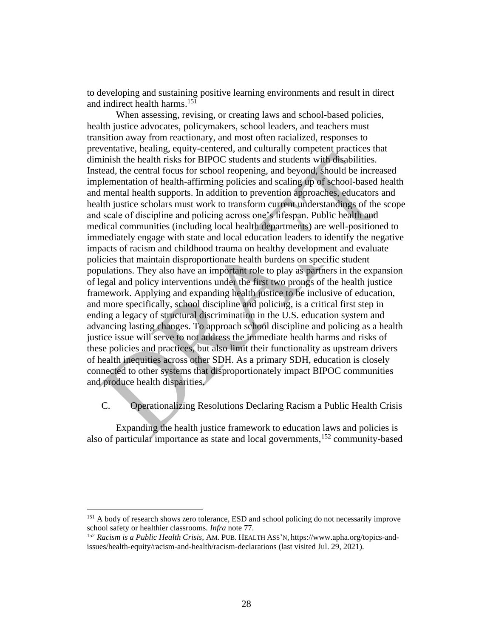to developing and sustaining positive learning environments and result in direct and indirect health harms. 151

When assessing, revising, or creating laws and school-based policies, health justice advocates, policymakers, school leaders, and teachers must transition away from reactionary, and most often racialized, responses to preventative, healing, equity-centered, and culturally competent practices that diminish the health risks for BIPOC students and students with disabilities. Instead, the central focus for school reopening, and beyond, should be increased implementation of health-affirming policies and scaling up of school-based health and mental health supports. In addition to prevention approaches, educators and health justice scholars must work to transform current understandings of the scope and scale of discipline and policing across one's lifespan. Public health and medical communities (including local health departments) are well-positioned to immediately engage with state and local education leaders to identify the negative impacts of racism and childhood trauma on healthy development and evaluate policies that maintain disproportionate health burdens on specific student populations. They also have an important role to play as partners in the expansion of legal and policy interventions under the first two prongs of the health justice framework. Applying and expanding health justice to be inclusive of education, and more specifically, school discipline and policing, is a critical first step in ending a legacy of structural discrimination in the U.S. education system and advancing lasting changes. To approach school discipline and policing as a health justice issue will serve to not address the immediate health harms and risks of these policies and practices, but also limit their functionality as upstream drivers of health inequities across other SDH. As a primary SDH, education is closely connected to other systems that disproportionately impact BIPOC communities and produce health disparities.

<span id="page-27-0"></span>C. Operationalizing Resolutions Declaring Racism a Public Health Crisis

Expanding the health justice framework to education laws and policies is also of particular importance as state and local governments, <sup>152</sup> community-based

<sup>&</sup>lt;sup>151</sup> A body of research shows zero tolerance, ESD and school policing do not necessarily improve school safety or healthier classrooms. *Infra* note 77.

<sup>152</sup> *Racism is a Public Health Crisis,* AM. PUB. HEALTH ASS'N, https://www.apha.org/topics-andissues/health-equity/racism-and-health/racism-declarations (last visited Jul. 29, 2021).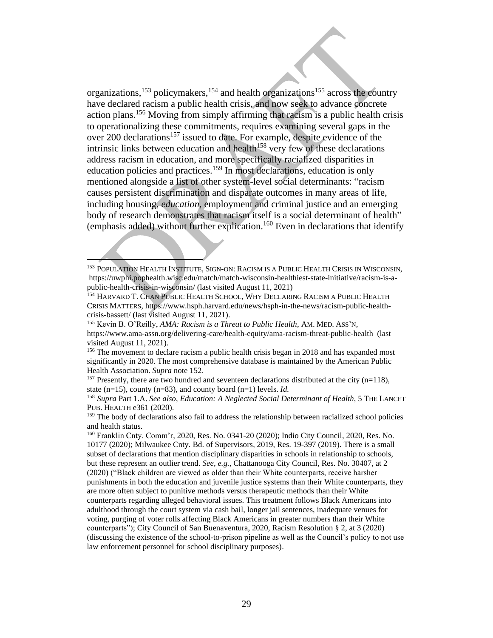organizations,<sup>153</sup> policymakers,<sup>154</sup> and health organizations<sup>155</sup> across the country have declared racism a public health crisis, and now seek to advance concrete action plans. <sup>156</sup> Moving from simply affirming that racism is a public health crisis to operationalizing these commitments, requires examining several gaps in the over 200 declarations<sup>157</sup> issued to date. For example, despite evidence of the intrinsic links between education and health<sup>158</sup> very few of these declarations address racism in education, and more specifically racialized disparities in education policies and practices.<sup>159</sup> In most declarations, education is only mentioned alongside a list of other system-level social determinants: "racism causes persistent discrimination and disparate outcomes in many areas of life, including housing, *education*, employment and criminal justice and an emerging body of research demonstrates that racism itself is a social determinant of health" (emphasis added) without further explication.<sup>160</sup> Even in declarations that identify

 $157$  Presently, there are two hundred and seventeen declarations distributed at the city (n=118), state (n=15), county (n=83), and county board (n=1) levels. *Id.*

<sup>158</sup> *Supra* Part 1.A. *See also*, *Education: A Neglected Social Determinant of Health*, 5 THE LANCET PUB. HEALTH e361 (2020).

<sup>159</sup> The body of declarations also fail to address the relationship between racialized school policies and health status.

<sup>160</sup> Franklin Cnty. Comm'r, 2020, Res. No. 0341-20 (2020); Indio City Council, 2020, Res. No. 10177 (2020); Milwaukee Cnty. Bd. of Supervisors, 2019, Res. 19-397 (2019). There is a small subset of declarations that mention disciplinary disparities in schools in relationship to schools, but these represent an outlier trend. *See, e.g.,* Chattanooga City Council, Res. No. 30407, at 2 (2020) ("Black children are viewed as older than their White counterparts, receive harsher punishments in both the education and juvenile justice systems than their White counterparts, they are more often subject to punitive methods versus therapeutic methods than their White counterparts regarding alleged behavioral issues. This treatment follows Black Americans into adulthood through the court system via cash bail, longer jail sentences, inadequate venues for voting, purging of voter rolls affecting Black Americans in greater numbers than their White counterparts"); City Council of San Buenaventura, 2020, Racism Resolution § 2, at 3 (2020) (discussing the existence of the school-to-prison pipeline as well as the Council's policy to not use law enforcement personnel for school disciplinary purposes).

<sup>153</sup> POPULATION HEALTH INSTITUTE, SIGN-ON: RACISM IS A PUBLIC HEALTH CRISIS IN WISCONSIN, https://uwphi.pophealth.wisc.edu/match/match-wisconsin-healthiest-state-initiative/racism-is-apublic-health-crisis-in-wisconsin/ (last visited August 11, 2021)

<sup>&</sup>lt;sup>154</sup> HARVARD T. CHAN PUBLIC HEALTH SCHOOL, WHY DECLARING RACISM A PUBLIC HEALTH CRISIS MATTERS, https://www.hsph.harvard.edu/news/hsph-in-the-news/racism-public-healthcrisis-bassett/ (last visited August 11, 2021).

<sup>155</sup> Kevin B. O'Reilly, *AMA: Racism is a Threat to Public Health*, AM. MED. ASS'N, https://www.ama-assn.org/delivering-care/health-equity/ama-racism-threat-public-health (last visited August 11, 2021).

<sup>&</sup>lt;sup>156</sup> The movement to declare racism a public health crisis began in 2018 and has expanded most significantly in 2020. The most comprehensive database is maintained by the American Public Health Association. *Supra* note 152.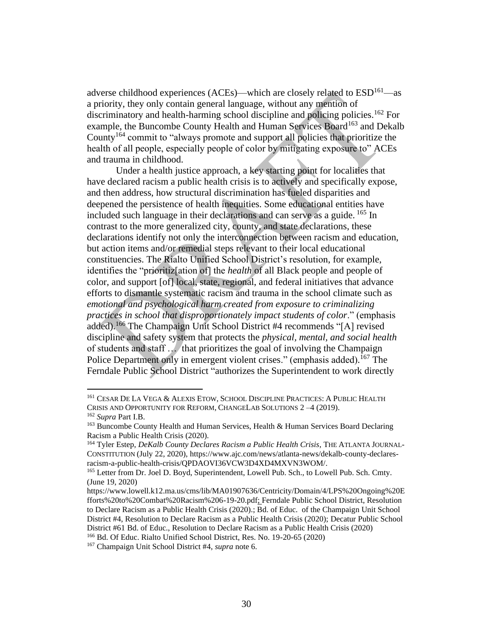adverse childhood experiences (ACEs)—which are closely related to  $ESD<sup>161</sup>$ —as a priority, they only contain general language, without any mention of discriminatory and health-harming school discipline and policing policies.<sup>162</sup> For example, the Buncombe County Health and Human Services Board<sup>163</sup> and Dekalb County<sup>164</sup> commit to "always promote and support all policies that prioritize the health of all people, especially people of color by mitigating exposure to" ACEs and trauma in childhood.

Under a health justice approach, a key starting point for localities that have declared racism a public health crisis is to actively and specifically expose, and then address, how structural discrimination has fueled disparities and deepened the persistence of health inequities. Some educational entities have included such language in their declarations and can serve as a guide. <sup>165</sup> In contrast to the more generalized city, county, and state declarations, these declarations identify not only the interconnection between racism and education, but action items and/or remedial steps relevant to their local educational constituencies. The Rialto Unified School District's resolution, for example, identifies the "prioritiz[ation of] the *health* of all Black people and people of color, and support [of] local, state, regional, and federal initiatives that advance efforts to dismantle systematic racism and trauma in the school climate such as *emotional and psychological harm created from exposure to criminalizing practices in school that disproportionately impact students of color*." (emphasis added).<sup>166</sup> The Champaign Unit School District #4 recommends "[A] revised discipline and safety system that protects the *physical, mental, and social health* of students and staff … that prioritizes the goal of involving the Champaign Police Department only in emergent violent crises." (emphasis added).<sup>167</sup> The Ferndale Public School District "authorizes the Superintendent to work directly

<sup>161</sup> CESAR DE LA VEGA & ALEXIS ETOW, SCHOOL DISCIPLINE PRACTICES: A PUBLIC HEALTH CRISIS AND OPPORTUNITY FOR REFORM, CHANGELAB SOLUTIONS 2 –4 (2019). <sup>162</sup> *Supra* Part I.B.

<sup>&</sup>lt;sup>163</sup> Buncombe County Health and Human Services, Health & Human Services Board Declaring Racism a Public Health Crisis (2020).

<sup>164</sup> Tyler Estep, *DeKalb County Declares Racism a Public Health Crisis*, THE ATLANTA JOURNAL-CONSTITUTION (July 22, 2020), https://www.ajc.com/news/atlanta-news/dekalb-county-declaresracism-a-public-health-crisis/QPDAOVI36VCW3D4XD4MXVN3WOM/.

<sup>&</sup>lt;sup>165</sup> Letter from Dr. Joel D. Boyd, Superintendent, Lowell Pub. Sch., to Lowell Pub. Sch. Cmty. (June 19, 2020)

https://www.lowell.k12.ma.us/cms/lib/MA01907636/Centricity/Domain/4/LPS%20Ongoing%20E fforts%20to%20Combat%20Racism%206-19-20.pdf; Ferndale Public School District, Resolution to Declare Racism as a Public Health Crisis (2020).; Bd. of Educ. of the Champaign Unit School District #4, Resolution to Declare Racism as a Public Health Crisis (2020); Decatur Public School District #61 Bd. of Educ., Resolution to Declare Racism as a Public Health Crisis (2020) <sup>166</sup> Bd. Of Educ. Rialto Unified School District, Res. No. 19-20-65 (2020)

<sup>167</sup> Champaign Unit School District #4, *supra* note 6.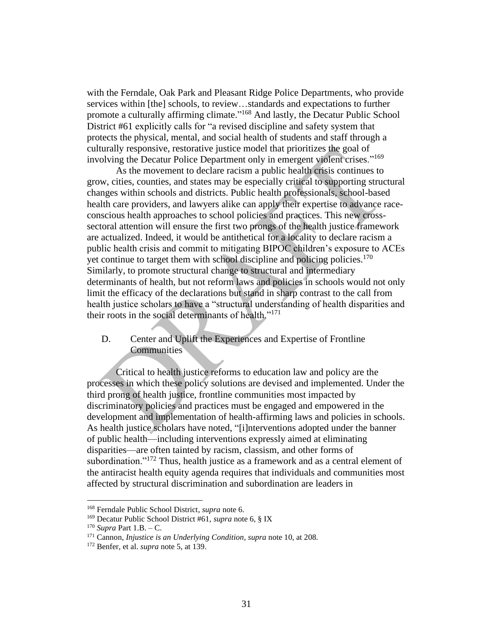with the Ferndale, Oak Park and Pleasant Ridge Police Departments, who provide services within [the] schools, to review…standards and expectations to further promote a culturally affirming climate."<sup>168</sup> And lastly, the Decatur Public School District #61 explicitly calls for "a revised discipline and safety system that protects the physical, mental, and social health of students and staff through a culturally responsive, restorative justice model that prioritizes the goal of involving the Decatur Police Department only in emergent violent crises."<sup>169</sup>

As the movement to declare racism a public health crisis continues to grow, cities, counties, and states may be especially critical to supporting structural changes within schools and districts. Public health professionals, school-based health care providers, and lawyers alike can apply their expertise to advance raceconscious health approaches to school policies and practices. This new crosssectoral attention will ensure the first two prongs of the health justice framework are actualized. Indeed, it would be antithetical for a locality to declare racism a public health crisis and commit to mitigating BIPOC children's exposure to ACEs yet continue to target them with school discipline and policing policies.<sup>170</sup> Similarly, to promote structural change to structural and intermediary determinants of health, but not reform laws and policies in schools would not only limit the efficacy of the declarations but stand in sharp contrast to the call from health justice scholars to have a "structural understanding of health disparities and their roots in the social determinants of health."<sup>171</sup>

## <span id="page-30-0"></span>D. Center and Uplift the Experiences and Expertise of Frontline **Communities**

Critical to health justice reforms to education law and policy are the processes in which these policy solutions are devised and implemented. Under the third prong of health justice, frontline communities most impacted by discriminatory policies and practices must be engaged and empowered in the development and implementation of health-affirming laws and policies in schools. As health justice scholars have noted, "[i]nterventions adopted under the banner of public health—including interventions expressly aimed at eliminating disparities—are often tainted by racism, classism, and other forms of subordination."<sup>172</sup> Thus, health justice as a framework and as a central element of the antiracist health equity agenda requires that individuals and communities most affected by structural discrimination and subordination are leaders in

<sup>168</sup> Ferndale Public School District, *supra* note 6.

<sup>169</sup> Decatur Public School District #61, *supra* note 6, § IX

<sup>170</sup> *Supra* Part 1.B. – C.

<sup>171</sup> Cannon, *Injustice is an Underlying Condition, supra* note 10, at 208.

<sup>172</sup> Benfer, et al. *supra* note 5, at 139.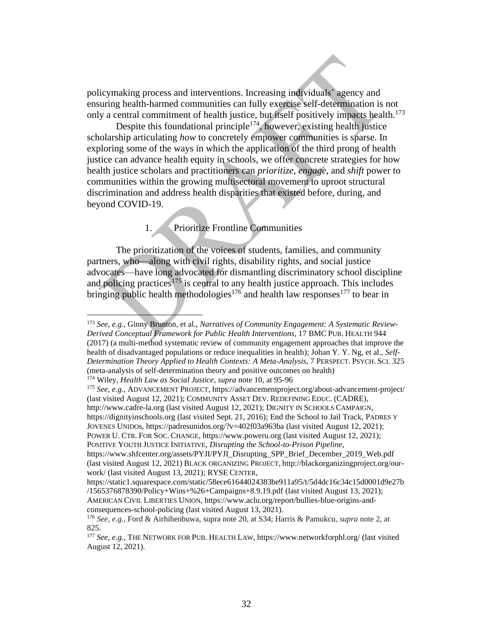policymaking process and interventions. Increasing individuals' agency and ensuring health-harmed communities can fully exercise self-determination is not only a central commitment of health justice, but itself positively impacts health.<sup>173</sup>

Despite this foundational principle<sup>174</sup>, however, existing health justice scholarship articulating *how* to concretely empower communities is sparse. In exploring some of the ways in which the application of the third prong of health justice can advance health equity in schools, we offer concrete strategies for how health justice scholars and practitioners can *prioritize*, *engage*, and *shift* power to communities within the growing multisectoral movement to uproot structural discrimination and address health disparities that existed before, during, and beyond COVID-19.

## 1. Prioritize Frontline Communities

<span id="page-31-0"></span>The prioritization of the voices of students, families, and community partners, who—along with civil rights, disability rights, and social justice advocates—have long advocated for dismantling discriminatory school discipline and policing practices<sup>175</sup> is central to any health justice approach. This includes bringing public health methodologies<sup>176</sup> and health law responses<sup>177</sup> to bear in

<sup>175</sup> *See, e.g.,* ADVANCEMENT PROJECT, https://advancementproject.org/about-advancement-project/ (last visited August 12, 2021); COMMUNITY ASSET DEV. REDEFINING EDUC. (CADRE), http://www.cadre-la.org (last visited August 12, 2021); DIGNITY IN SCHOOLS CAMPAIGN, https://dignityinschools.org (last visited Sept. 21, 2016); End the School to Jail Track, PADRES Y JOVENES UNIDOs, https://padresunidos.org/?v=402f03a963ba (last visited August 12, 2021); POWER U. CTR. FOR SOC. CHANGE, https://www.poweru.org (last visited August 12, 2021); POSITIVE YOUTH JUSTICE INITIATIVE, *Disrupting the School-to-Prison Pipeline*,

<sup>173</sup> *See, e.g.,* Ginny Brunton, et al., *Narratives of Community Engagement: A Systematic Review-Derived Conceptual Framework for Public Health Interventions*, 17 BMC PUB. HEALTH 944 (2017) (a multi-method systematic review of community engagement approaches that improve the health of disadvantaged populations or reduce inequalities in health); Johan Y. Y. Ng, et al., *Self-Determination Theory Applied to Health Contexts: A Meta-Analysis,* 7 PERSPECT. PSYCH. SCI. 325 (meta-analysis of self-determination theory and positive outcomes on health)

<sup>174</sup> Wiley, *Health Law as Social Justice*, *supra* note 10, at 95-96

https://www.shfcenter.org/assets/PYJI/PYJI\_Disrupting\_SPP\_Brief\_December\_2019\_Web.pdf (last visited August 12, 2021) BLACK ORGANIZING PROJECT, http://blackorganizingproject.org/ourwork/ (last visited August 13, 2021); RYSE CENTER,

https://static1.squarespace.com/static/58ece61644024383be911a95/t/5d4dc16c34c15d0001d9e27b /1565376878390/Policy+Wins+%26+Campaigns+8.9.19.pdf (last visited August 13, 2021); AMERICAN CIVIL LIBERTIES UNION, https://www.aclu.org/report/bullies-blue-origins-andconsequences-school-policing (last visited August 13, 2021).

<sup>176</sup> *See, e.g.*, Ford & Airhihenbuwa, supra note 20, at S34; Harris & Pamukcu, *supra* note 2, at 825.

<sup>177</sup> *See, e.g.,* THE NETWORK FOR PUB. HEALTH LAW, https://www.networkforphl.org/ (last visited August 12, 2021).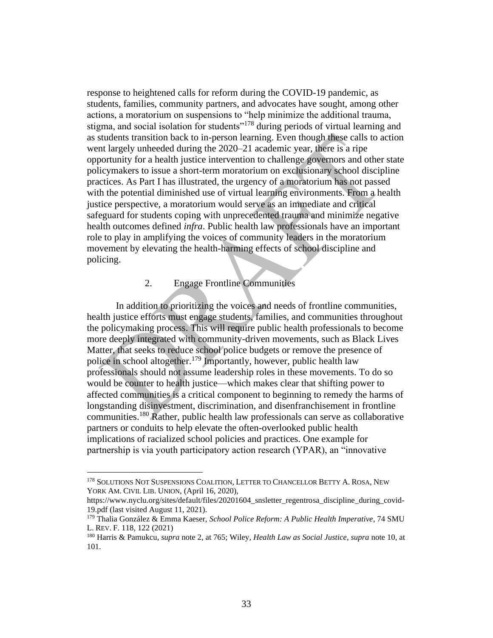response to heightened calls for reform during the COVID-19 pandemic, as students, families, community partners, and advocates have sought, among other actions, a moratorium on suspensions to "help minimize the additional trauma, stigma, and social isolation for students<sup>"178</sup> during periods of virtual learning and as students transition back to in-person learning. Even though these calls to action went largely unheeded during the 2020–21 academic year, there is a ripe opportunity for a health justice intervention to challenge governors and other state policymakers to issue a short-term moratorium on exclusionary school discipline practices. As Part I has illustrated, the urgency of a moratorium has not passed with the potential diminished use of virtual learning environments. From a health justice perspective, a moratorium would serve as an immediate and critical safeguard for students coping with unprecedented trauma and minimize negative health outcomes defined *infra*. Public health law professionals have an important role to play in amplifying the voices of community leaders in the moratorium movement by elevating the health-harming effects of school discipline and policing.

#### 2. Engage Frontline Communities

<span id="page-32-0"></span>In addition to prioritizing the voices and needs of frontline communities, health justice efforts must engage students, families, and communities throughout the policymaking process. This will require public health professionals to become more deeply integrated with community-driven movements, such as Black Lives Matter, that seeks to reduce school police budgets or remove the presence of police in school altogether.<sup>179</sup> Importantly, however, public health law professionals should not assume leadership roles in these movements. To do so would be counter to health justice—which makes clear that shifting power to affected communities is a critical component to beginning to remedy the harms of longstanding disinvestment, discrimination, and disenfranchisement in frontline communities. <sup>180</sup> Rather, public health law professionals can serve as collaborative partners or conduits to help elevate the often-overlooked public health implications of racialized school policies and practices. One example for partnership is via youth participatory action research (YPAR), an "innovative

<sup>178</sup> SOLUTIONS NOT SUSPENSIONS COALITION, LETTER TO CHANCELLOR BETTY A. ROSA, NEW YORK AM. CIVIL LIB. UNION, (April 16, 2020),

https://www.nyclu.org/sites/default/files/20201604\_snsletter\_regentrosa\_discipline\_during\_covid-19.pdf (last visited August 11, 2021).

<sup>179</sup> Thalia González & Emma Kaeser, *School Police Reform: A Public Health Imperative*, 74 SMU L. REV. F. 118, 122 (2021)

<sup>180</sup> Harris & Pamukcu, *supra* note 2, at 765; Wiley, *Health Law as Social Justice*, *supra* note 10, at 101.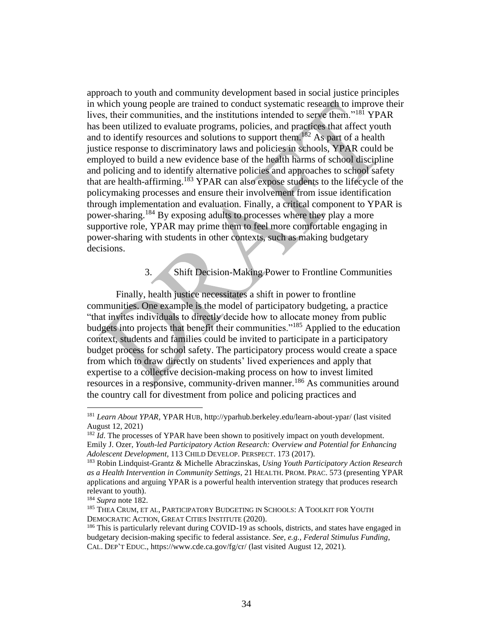approach to youth and community development based in social justice principles in which young people are trained to conduct systematic research to improve their lives, their communities, and the institutions intended to serve them."<sup>181</sup> YPAR has been utilized to evaluate programs, policies, and practices that affect youth and to identify resources and solutions to support them.<sup>182</sup> As part of a health justice response to discriminatory laws and policies in schools, YPAR could be employed to build a new evidence base of the health harms of school discipline and policing and to identify alternative policies and approaches to school safety that are health-affirming.<sup>183</sup> YPAR can also expose students to the lifecycle of the policymaking processes and ensure their involvement from issue identification through implementation and evaluation. Finally, a critical component to YPAR is power-sharing.<sup>184</sup> By exposing adults to processes where they play a more supportive role, YPAR may prime them to feel more comfortable engaging in power-sharing with students in other contexts, such as making budgetary decisions.

# 3. Shift Decision-Making Power to Frontline Communities

<span id="page-33-0"></span>Finally, health justice necessitates a shift in power to frontline communities. One example is the model of participatory budgeting, a practice "that invites individuals to directly decide how to allocate money from public budgets into projects that benefit their communities."<sup>185</sup> Applied to the education context, students and families could be invited to participate in a participatory budget process for school safety. The participatory process would create a space from which to draw directly on students' lived experiences and apply that expertise to a collective decision-making process on how to invest limited resources in a responsive, community-driven manner.<sup>186</sup> As communities around the country call for divestment from police and policing practices and

<sup>181</sup> *Learn About YPAR*, YPAR HUB, http://yparhub.berkeley.edu/learn-about-ypar/ (last visited August 12, 2021)

<sup>&</sup>lt;sup>182</sup> *Id*. The processes of YPAR have been shown to positively impact on youth development. Emily J. Ozer, *Youth-led Participatory Action Research: Overview and Potential for Enhancing Adolescent Development,* 113 CHILD DEVELOP. PERSPECT. 173 (2017).

<sup>183</sup> Robin Lindquist-Grantz & Michelle Abraczinskas, *Using Youth Participatory Action Research as a Health Intervention in Community Settings*, 21 HEALTH. PROM. PRAC. 573 (presenting YPAR applications and arguing YPAR is a powerful health intervention strategy that produces research relevant to youth).

<sup>184</sup> *Supra* note 182.

<sup>185</sup> THEA CRUM, ET AL, PARTICIPATORY BUDGETING IN SCHOOLS: A TOOLKIT FOR YOUTH DEMOCRATIC ACTION, GREAT CITIES INSTITUTE (2020).

<sup>&</sup>lt;sup>186</sup> This is particularly relevant during COVID-19 as schools, districts, and states have engaged in budgetary decision-making specific to federal assistance. *See, e.g., Federal Stimulus Funding*, CAL. DEP'T EDUC., https://www.cde.ca.gov/fg/cr/ (last visited August 12, 2021).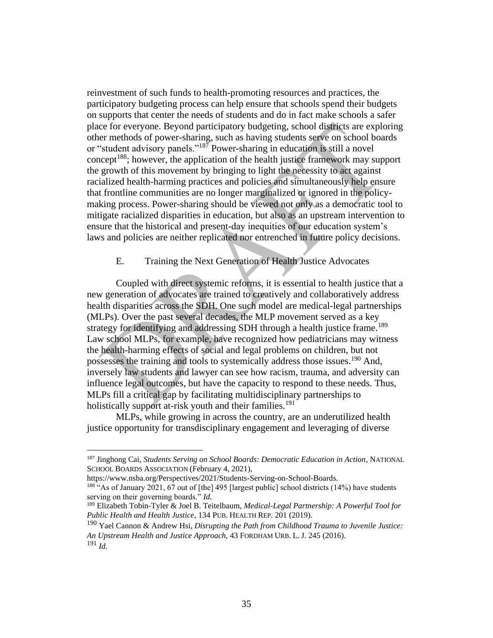reinvestment of such funds to health-promoting resources and practices, the participatory budgeting process can help ensure that schools spend their budgets on supports that center the needs of students and do in fact make schools a safer place for everyone. Beyond participatory budgeting, school districts are exploring other methods of power-sharing, such as having students serve on school boards or "student advisory panels."<sup>187</sup> Power-sharing in education is still a novel concept<sup>188</sup>; however, the application of the health justice framework may support the growth of this movement by bringing to light the necessity to act against racialized health-harming practices and policies and simultaneously help ensure that frontline communities are no longer marginalized or ignored in the policymaking process. Power-sharing should be viewed not only as a democratic tool to mitigate racialized disparities in education, but also as an upstream intervention to ensure that the historical and present-day inequities of our education system's laws and policies are neither replicated nor entrenched in future policy decisions.

## E. Training the Next Generation of Health Justice Advocates

<span id="page-34-0"></span>Coupled with direct systemic reforms, it is essential to health justice that a new generation of advocates are trained to creatively and collaboratively address health disparities across the SDH. One such model are medical-legal partnerships (MLPs). Over the past several decades, the MLP movement served as a key strategy for identifying and addressing SDH through a health justice frame.<sup>189</sup> Law school MLPs, for example, have recognized how pediatricians may witness the health-harming effects of social and legal problems on children, but not possesses the training and tools to systemically address those issues.<sup>190</sup> And, inversely law students and lawyer can see how racism, trauma, and adversity can influence legal outcomes, but have the capacity to respond to these needs. Thus, MLPs fill a critical gap by facilitating multidisciplinary partnerships to holistically support at-risk youth and their families.<sup>191</sup>

MLPs, while growing in across the country, are an underutilized health justice opportunity for transdisciplinary engagement and leveraging of diverse

<sup>187</sup> Jinghong Cai, *Students Serving on School Boards: Democratic Education in Action*, NATIONAL SCHOOL BOARDS ASSOCIATION (February 4, 2021),

https://www.nsba.org/Perspectives/2021/Students-Serving-on-School-Boards.

 $188$  "As of January 2021, 67 out of [the] 495 [largest public] school districts (14%) have students serving on their governing boards." *Id.*

<sup>189</sup> Elizabeth Tobin-Tyler & Joel B. Teitelbaum, *Medical-Legal Partnership: A Powerful Tool for Public Health and Health Justice*, 134 PUB. HEALTH REP. 201 (2019).

<sup>190</sup> Yael Cannon & Andrew Hsi, *Disrupting the Path from Childhood Trauma to Juvenile Justice: An Upstream Health and Justice Approach*, 43 FORDHAM URB. L. J. 245 (2016). <sup>191</sup> *Id.*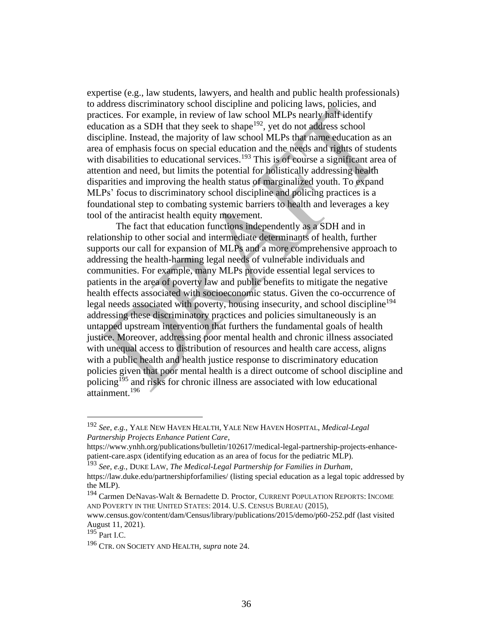expertise (e.g., law students, lawyers, and health and public health professionals) to address discriminatory school discipline and policing laws, policies, and practices. For example, in review of law school MLPs nearly half identify education as a SDH that they seek to shape<sup>192</sup>, yet do not address school discipline. Instead, the majority of law school MLPs that name education as an area of emphasis focus on special education and the needs and rights of students with disabilities to educational services.<sup>193</sup> This is of course a significant area of attention and need, but limits the potential for holistically addressing health disparities and improving the health status of marginalized youth. To expand MLPs' focus to discriminatory school discipline and policing practices is a foundational step to combating systemic barriers to health and leverages a key tool of the antiracist health equity movement.

The fact that education functions independently as a SDH and in relationship to other social and intermediate determinants of health, further supports our call for expansion of MLPs and a more comprehensive approach to addressing the health-harming legal needs of vulnerable individuals and communities. For example, many MLPs provide essential legal services to patients in the area of poverty law and public benefits to mitigate the negative health effects associated with socioeconomic status. Given the co-occurrence of legal needs associated with poverty, housing insecurity, and school discipline<sup>194</sup> addressing these discriminatory practices and policies simultaneously is an untapped upstream intervention that furthers the fundamental goals of health justice. Moreover, addressing poor mental health and chronic illness associated with unequal access to distribution of resources and health care access, aligns with a public health and health justice response to discriminatory education policies given that poor mental health is a direct outcome of school discipline and policing<sup>195</sup> and risks for chronic illness are associated with low educational attainment.<sup>196</sup>

<sup>192</sup> *See, e.g.*, YALE NEW HAVEN HEALTH, YALE NEW HAVEN HOSPITAL, *Medical-Legal Partnership Projects Enhance Patient Care*,

https://www.ynhh.org/publications/bulletin/102617/medical-legal-partnership-projects-enhancepatient-care.aspx (identifying education as an area of focus for the pediatric MLP).

<sup>193</sup> *See, e.g.*, DUKE LAW, *The Medical-Legal Partnership for Families in Durham*, https://law.duke.edu/partnershipforfamilies/ (listing special education as a legal topic addressed by the MLP).

<sup>194</sup> Carmen DeNavas-Walt & Bernadette D. Proctor, CURRENT POPULATION REPORTS: INCOME AND POVERTY IN THE UNITED STATES: 2014. U.S. CENSUS BUREAU (2015),

www.census.gov/content/dam/Census/library/publications/2015/demo/p60-252.pdf (last visited August 11, 2021).

 $195$  Part I.C.

<sup>196</sup> CTR. ON SOCIETY AND HEALTH*, supra* note 24.